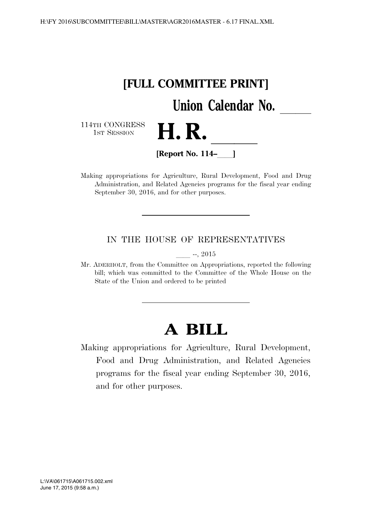

Making appropriations for Agriculture, Rural Development, Food and Drug Administration, and Related Agencies programs for the fiscal year ending September 30, 2016, and for other purposes.

# IN THE HOUSE OF REPRESENTATIVES

 $-$ , 2015

Mr. ADERHOLT, from the Committee on Appropriations, reported the following bill; which was committed to the Committee of the Whole House on the State of the Union and ordered to be printed

# **A BILL**

Making appropriations for Agriculture, Rural Development, Food and Drug Administration, and Related Agencies programs for the fiscal year ending September 30, 2016, and for other purposes.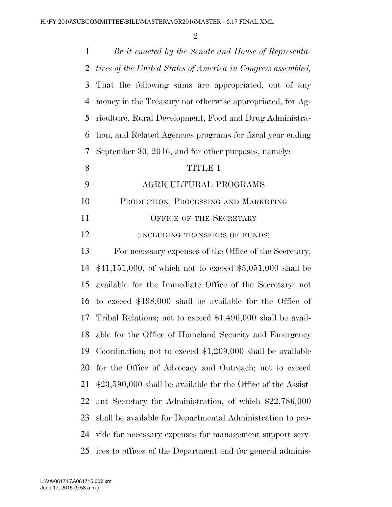| $\mathbf{1}$   | Be it enacted by the Senate and House of Representa-           |
|----------------|----------------------------------------------------------------|
| 2              | tives of the United States of America in Congress assembled,   |
| 3              | That the following sums are appropriated, out of any           |
| $\overline{4}$ | money in the Treasury not otherwise appropriated, for Ag-      |
| 5              | riculture, Rural Development, Food and Drug Administra-        |
| 6              | tion, and Related Agencies programs for fiscal year ending     |
| 7              | September 30, 2016, and for other purposes, namely:            |
| 8              | <b>TITLE I</b>                                                 |
| 9              | AGRICULTURAL PROGRAMS                                          |
| 10             | PRODUCTION, PROCESSING AND MARKETING                           |
| 11             | OFFICE OF THE SECRETARY                                        |
| 12             | (INCLUDING TRANSFERS OF FUNDS)                                 |
| 13             | For necessary expenses of the Office of the Secretary,         |
| 14             | $$41,151,000$ , of which not to exceed $$5,051,000$ shall be   |
| 15             | available for the Immediate Office of the Secretary; not       |
| 16             | to exceed \$498,000 shall be available for the Office of       |
| 17             | Tribal Relations; not to exceed \$1,496,000 shall be avail-    |
| 18             | able for the Office of Homeland Security and Emergency         |
| 19             | Coordination; not to exceed $$1,209,000$ shall be available    |
| 20             | for the Office of Advocacy and Outreach; not to exceed         |
| 21             | $$23,590,000$ shall be available for the Office of the Assist- |
| 22             | ant Secretary for Administration, of which \$22,786,000        |
| 23             | shall be available for Departmental Administration to pro-     |
| 24             | vide for necessary expenses for management support serv-       |
| 25             | ices to offices of the Department and for general adminis-     |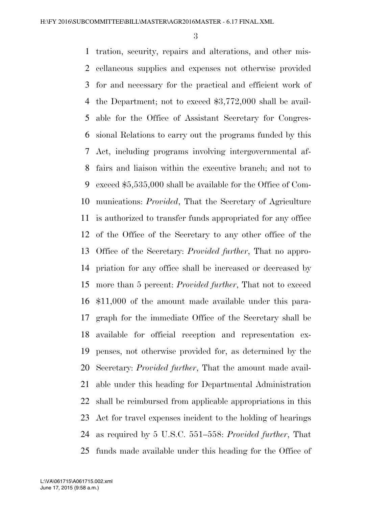tration, security, repairs and alterations, and other mis- cellaneous supplies and expenses not otherwise provided for and necessary for the practical and efficient work of the Department; not to exceed \$3,772,000 shall be avail- able for the Office of Assistant Secretary for Congres- sional Relations to carry out the programs funded by this Act, including programs involving intergovernmental af- fairs and liaison within the executive branch; and not to exceed \$5,535,000 shall be available for the Office of Com- munications: *Provided*, That the Secretary of Agriculture is authorized to transfer funds appropriated for any office of the Office of the Secretary to any other office of the Office of the Secretary: *Provided further*, That no appro- priation for any office shall be increased or decreased by more than 5 percent: *Provided further*, That not to exceed \$11,000 of the amount made available under this para- graph for the immediate Office of the Secretary shall be available for official reception and representation ex- penses, not otherwise provided for, as determined by the Secretary: *Provided further*, That the amount made avail- able under this heading for Departmental Administration shall be reimbursed from applicable appropriations in this Act for travel expenses incident to the holding of hearings as required by 5 U.S.C. 551–558: *Provided further*, That funds made available under this heading for the Office of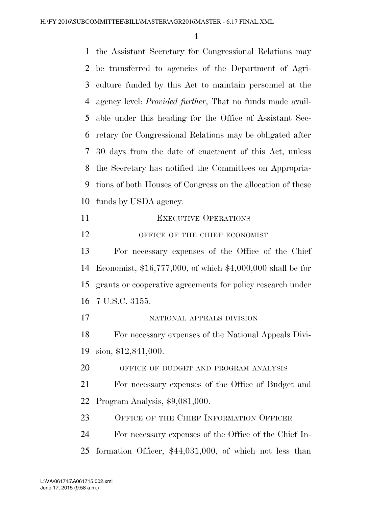the Assistant Secretary for Congressional Relations may be transferred to agencies of the Department of Agri- culture funded by this Act to maintain personnel at the agency level: *Provided further*, That no funds made avail- able under this heading for the Office of Assistant Sec- retary for Congressional Relations may be obligated after 30 days from the date of enactment of this Act, unless the Secretary has notified the Committees on Appropria- tions of both Houses of Congress on the allocation of these funds by USDA agency. 11 EXECUTIVE OPERATIONS 12 OFFICE OF THE CHIEF ECONOMIST For necessary expenses of the Office of the Chief Economist, \$16,777,000, of which \$4,000,000 shall be for grants or cooperative agreements for policy research under 7 U.S.C. 3155. NATIONAL APPEALS DIVISION For necessary expenses of the National Appeals Divi- sion, \$12,841,000. OFFICE OF BUDGET AND PROGRAM ANALYSIS For necessary expenses of the Office of Budget and Program Analysis, \$9,081,000. 23 OFFICE OF THE CHIEF INFORMATION OFFICER For necessary expenses of the Office of the Chief In-formation Officer, \$44,031,000, of which not less than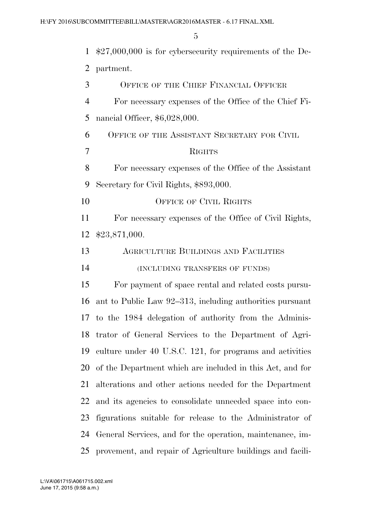| $\mathbf{1}$   | $$27,000,000$ is for cybersecurity requirements of the De- |
|----------------|------------------------------------------------------------|
| $\overline{2}$ | partment.                                                  |
| 3              | OFFICE OF THE CHIEF FINANCIAL OFFICER                      |
| $\overline{4}$ | For necessary expenses of the Office of the Chief Fi-      |
| 5              | nancial Officer, \$6,028,000.                              |
| 6              | OFFICE OF THE ASSISTANT SECRETARY FOR CIVIL                |
| $\overline{7}$ | <b>RIGHTS</b>                                              |
| 8              | For necessary expenses of the Office of the Assistant      |
| 9              | Secretary for Civil Rights, \$893,000.                     |
| 10             | OFFICE OF CIVIL RIGHTS                                     |
| 11             | For necessary expenses of the Office of Civil Rights,      |
| 12             | \$23,871,000.                                              |
| 13             | <b>AGRICULTURE BUILDINGS AND FACILITIES</b>                |
| 14             | (INCLUDING TRANSFERS OF FUNDS)                             |
| 15             | For payment of space rental and related costs pursu-       |
| 16             | ant to Public Law 92–313, including authorities pursuant   |
| 17             | to the 1984 delegation of authority from the Adminis-      |
| 18             | trator of General Services to the Department of Agri-      |
| 19             | culture under 40 U.S.C. 121, for programs and activities   |
| 20             | of the Department which are included in this Act, and for  |
| 21             | alterations and other actions needed for the Department    |
| 22             | and its agencies to consolidate unneeded space into con-   |
| 23             | figurations suitable for release to the Administrator of   |
| 24             | General Services, and for the operation, maintenance, im-  |
| 25             | provement, and repair of Agriculture buildings and facili- |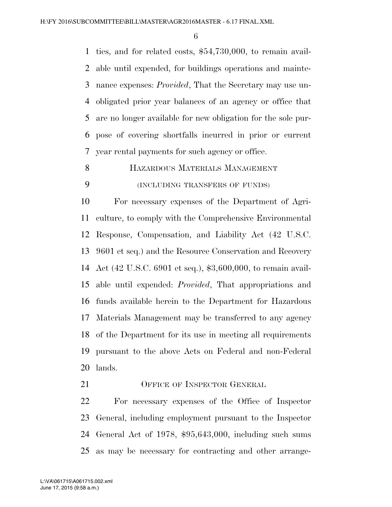ties, and for related costs, \$54,730,000, to remain avail- able until expended, for buildings operations and mainte- nance expenses: *Provided*, That the Secretary may use un- obligated prior year balances of an agency or office that are no longer available for new obligation for the sole pur- pose of covering shortfalls incurred in prior or current year rental payments for such agency or office.

HAZARDOUS MATERIALS MANAGEMENT

# (INCLUDING TRANSFERS OF FUNDS)

 For necessary expenses of the Department of Agri- culture, to comply with the Comprehensive Environmental Response, Compensation, and Liability Act (42 U.S.C. 9601 et seq.) and the Resource Conservation and Recovery Act (42 U.S.C. 6901 et seq.), \$3,600,000, to remain avail- able until expended: *Provided*, That appropriations and funds available herein to the Department for Hazardous Materials Management may be transferred to any agency of the Department for its use in meeting all requirements pursuant to the above Acts on Federal and non-Federal lands.

21 OFFICE OF INSPECTOR GENERAL

 For necessary expenses of the Office of Inspector General, including employment pursuant to the Inspector General Act of 1978, \$95,643,000, including such sums as may be necessary for contracting and other arrange-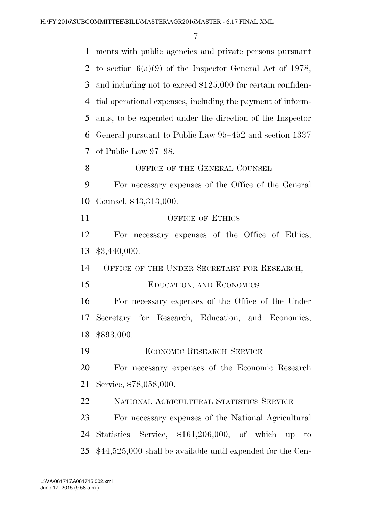ments with public agencies and private persons pursuant 2 to section  $6(a)(9)$  of the Inspector General Act of 1978, and including not to exceed \$125,000 for certain confiden- tial operational expenses, including the payment of inform- ants, to be expended under the direction of the Inspector General pursuant to Public Law 95–452 and section 1337 of Public Law 97–98. 8 OFFICE OF THE GENERAL COUNSEL For necessary expenses of the Office of the General Counsel, \$43,313,000. 11 OFFICE OF ETHICS For necessary expenses of the Office of Ethics, \$3,440,000. OFFICE OF THE UNDER SECRETARY FOR RESEARCH, EDUCATION, AND ECONOMICS For necessary expenses of the Office of the Under Secretary for Research, Education, and Economics, \$893,000. ECONOMIC RESEARCH SERVICE For necessary expenses of the Economic Research Service, \$78,058,000. NATIONAL AGRICULTURAL STATISTICS SERVICE For necessary expenses of the National Agricultural Statistics Service, \$161,206,000, of which up to \$44,525,000 shall be available until expended for the Cen-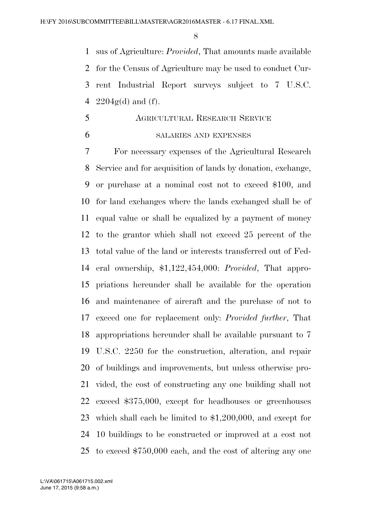sus of Agriculture: *Provided*, That amounts made available for the Census of Agriculture may be used to conduct Cur- rent Industrial Report surveys subject to 7 U.S.C.  $2204g(d)$  and (f).

 AGRICULTURAL RESEARCH SERVICE SALARIES AND EXPENSES

 For necessary expenses of the Agricultural Research Service and for acquisition of lands by donation, exchange, or purchase at a nominal cost not to exceed \$100, and for land exchanges where the lands exchanged shall be of equal value or shall be equalized by a payment of money to the grantor which shall not exceed 25 percent of the total value of the land or interests transferred out of Fed- eral ownership, \$1,122,454,000: *Provided*, That appro- priations hereunder shall be available for the operation and maintenance of aircraft and the purchase of not to exceed one for replacement only: *Provided further*, That appropriations hereunder shall be available pursuant to 7 U.S.C. 2250 for the construction, alteration, and repair of buildings and improvements, but unless otherwise pro- vided, the cost of constructing any one building shall not exceed \$375,000, except for headhouses or greenhouses which shall each be limited to \$1,200,000, and except for 10 buildings to be constructed or improved at a cost not to exceed \$750,000 each, and the cost of altering any one

June 17, 2015 (9:58 a.m.) L:\VA\061715\A061715.002.xml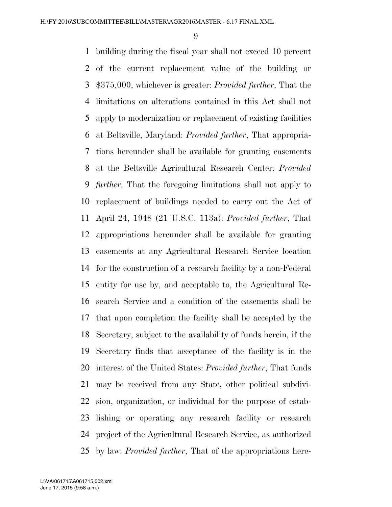building during the fiscal year shall not exceed 10 percent of the current replacement value of the building or \$375,000, whichever is greater: *Provided further*, That the limitations on alterations contained in this Act shall not apply to modernization or replacement of existing facilities at Beltsville, Maryland: *Provided further*, That appropria- tions hereunder shall be available for granting easements at the Beltsville Agricultural Research Center: *Provided further*, That the foregoing limitations shall not apply to replacement of buildings needed to carry out the Act of April 24, 1948 (21 U.S.C. 113a): *Provided further*, That appropriations hereunder shall be available for granting easements at any Agricultural Research Service location for the construction of a research facility by a non-Federal entity for use by, and acceptable to, the Agricultural Re- search Service and a condition of the easements shall be that upon completion the facility shall be accepted by the Secretary, subject to the availability of funds herein, if the Secretary finds that acceptance of the facility is in the interest of the United States: *Provided further*, That funds may be received from any State, other political subdivi- sion, organization, or individual for the purpose of estab- lishing or operating any research facility or research project of the Agricultural Research Service, as authorized by law: *Provided further*, That of the appropriations here-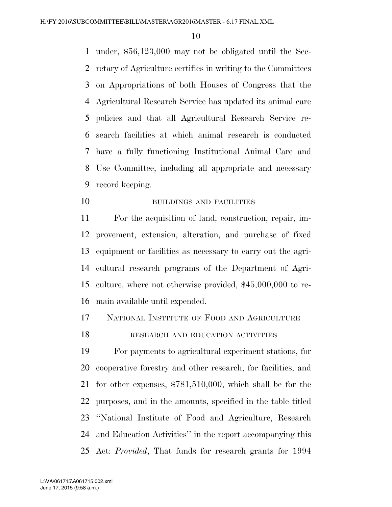under, \$56,123,000 may not be obligated until the Sec- retary of Agriculture certifies in writing to the Committees on Appropriations of both Houses of Congress that the Agricultural Research Service has updated its animal care policies and that all Agricultural Research Service re- search facilities at which animal research is conducted have a fully functioning Institutional Animal Care and Use Committee, including all appropriate and necessary record keeping.

10 BUILDINGS AND FACILITIES

 For the acquisition of land, construction, repair, im- provement, extension, alteration, and purchase of fixed equipment or facilities as necessary to carry out the agri- cultural research programs of the Department of Agri- culture, where not otherwise provided, \$45,000,000 to re-main available until expended.

# NATIONAL INSTITUTE OF FOOD AND AGRICULTURE

# 18 RESEARCH AND EDUCATION ACTIVITIES

 For payments to agricultural experiment stations, for cooperative forestry and other research, for facilities, and for other expenses, \$781,510,000, which shall be for the purposes, and in the amounts, specified in the table titled ''National Institute of Food and Agriculture, Research and Education Activities'' in the report accompanying this Act: *Provided*, That funds for research grants for 1994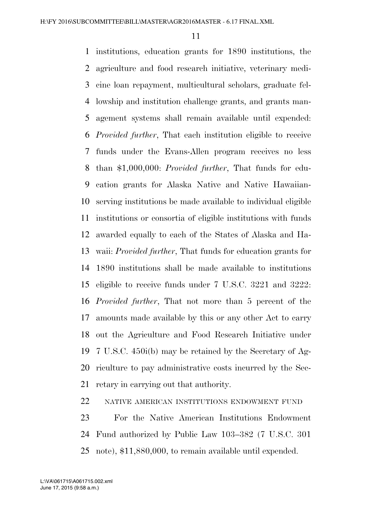institutions, education grants for 1890 institutions, the agriculture and food research initiative, veterinary medi- cine loan repayment, multicultural scholars, graduate fel- lowship and institution challenge grants, and grants man- agement systems shall remain available until expended: *Provided further*, That each institution eligible to receive funds under the Evans-Allen program receives no less than \$1,000,000: *Provided further*, That funds for edu- cation grants for Alaska Native and Native Hawaiian- serving institutions be made available to individual eligible institutions or consortia of eligible institutions with funds awarded equally to each of the States of Alaska and Ha- waii: *Provided further*, That funds for education grants for 1890 institutions shall be made available to institutions eligible to receive funds under 7 U.S.C. 3221 and 3222: *Provided further*, That not more than 5 percent of the amounts made available by this or any other Act to carry out the Agriculture and Food Research Initiative under 7 U.S.C. 450i(b) may be retained by the Secretary of Ag- riculture to pay administrative costs incurred by the Sec-retary in carrying out that authority.

NATIVE AMERICAN INSTITUTIONS ENDOWMENT FUND

 For the Native American Institutions Endowment Fund authorized by Public Law 103–382 (7 U.S.C. 301 note), \$11,880,000, to remain available until expended.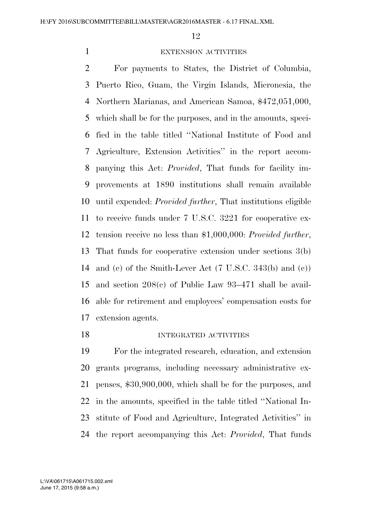# EXTENSION ACTIVITIES

 For payments to States, the District of Columbia, Puerto Rico, Guam, the Virgin Islands, Micronesia, the Northern Marianas, and American Samoa, \$472,051,000, which shall be for the purposes, and in the amounts, speci- fied in the table titled ''National Institute of Food and Agriculture, Extension Activities'' in the report accom- panying this Act: *Provided*, That funds for facility im- provements at 1890 institutions shall remain available until expended: *Provided further*, That institutions eligible to receive funds under 7 U.S.C. 3221 for cooperative ex- tension receive no less than \$1,000,000: *Provided further*, That funds for cooperative extension under sections 3(b) and (c) of the Smith-Lever Act (7 U.S.C. 343(b) and (c)) and section 208(c) of Public Law 93–471 shall be avail- able for retirement and employees' compensation costs for extension agents.

## 18 INTEGRATED ACTIVITIES

 For the integrated research, education, and extension grants programs, including necessary administrative ex- penses, \$30,900,000, which shall be for the purposes, and in the amounts, specified in the table titled ''National In- stitute of Food and Agriculture, Integrated Activities'' in the report accompanying this Act: *Provided*, That funds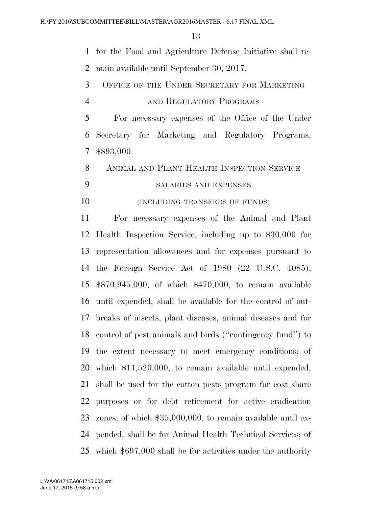for the Food and Agriculture Defense Initiative shall re-main available until September 30, 2017.

- OFFICE OF THE UNDER SECRETARY FOR MARKETING
- 4 AND REGULATORY PROGRAMS

 For necessary expenses of the Office of the Under Secretary for Marketing and Regulatory Programs, \$893,000.

ANIMAL AND PLANT HEALTH INSPECTION SERVICE

SALARIES AND EXPENSES

**(INCLUDING TRANSFERS OF FUNDS)** 

 For necessary expenses of the Animal and Plant Health Inspection Service, including up to \$30,000 for representation allowances and for expenses pursuant to the Foreign Service Act of 1980 (22 U.S.C. 4085), \$870,945,000, of which \$470,000, to remain available until expended, shall be available for the control of out- breaks of insects, plant diseases, animal diseases and for control of pest animals and birds (''contingency fund'') to the extent necessary to meet emergency conditions; of which \$11,520,000, to remain available until expended, shall be used for the cotton pests program for cost share purposes or for debt retirement for active eradication zones; of which \$35,000,000, to remain available until ex- pended, shall be for Animal Health Technical Services; of which \$697,000 shall be for activities under the authority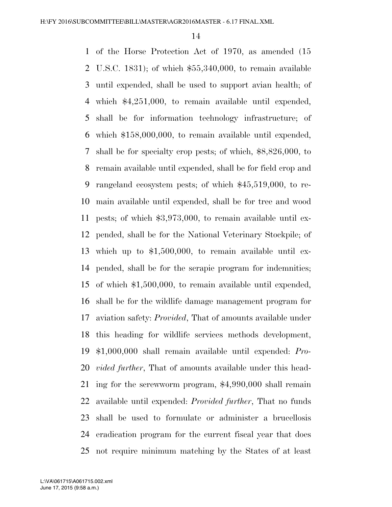of the Horse Protection Act of 1970, as amended (15 U.S.C. 1831); of which \$55,340,000, to remain available until expended, shall be used to support avian health; of which \$4,251,000, to remain available until expended, shall be for information technology infrastructure; of which \$158,000,000, to remain available until expended, shall be for specialty crop pests; of which, \$8,826,000, to remain available until expended, shall be for field crop and rangeland ecosystem pests; of which \$45,519,000, to re- main available until expended, shall be for tree and wood pests; of which \$3,973,000, to remain available until ex- pended, shall be for the National Veterinary Stockpile; of which up to \$1,500,000, to remain available until ex- pended, shall be for the scrapie program for indemnities; of which \$1,500,000, to remain available until expended, shall be for the wildlife damage management program for aviation safety: *Provided*, That of amounts available under this heading for wildlife services methods development, \$1,000,000 shall remain available until expended: *Pro- vided further*, That of amounts available under this head- ing for the screwworm program, \$4,990,000 shall remain available until expended: *Provided further*, That no funds shall be used to formulate or administer a brucellosis eradication program for the current fiscal year that does not require minimum matching by the States of at least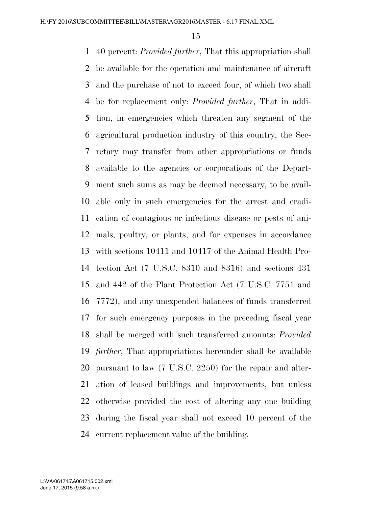40 percent: *Provided further*, That this appropriation shall be available for the operation and maintenance of aircraft and the purchase of not to exceed four, of which two shall be for replacement only: *Provided further*, That in addi- tion, in emergencies which threaten any segment of the agricultural production industry of this country, the Sec- retary may transfer from other appropriations or funds available to the agencies or corporations of the Depart- ment such sums as may be deemed necessary, to be avail- able only in such emergencies for the arrest and eradi- cation of contagious or infectious disease or pests of ani- mals, poultry, or plants, and for expenses in accordance with sections 10411 and 10417 of the Animal Health Pro- tection Act (7 U.S.C. 8310 and 8316) and sections 431 and 442 of the Plant Protection Act (7 U.S.C. 7751 and 7772), and any unexpended balances of funds transferred for such emergency purposes in the preceding fiscal year shall be merged with such transferred amounts: *Provided further*, That appropriations hereunder shall be available pursuant to law (7 U.S.C. 2250) for the repair and alter- ation of leased buildings and improvements, but unless otherwise provided the cost of altering any one building during the fiscal year shall not exceed 10 percent of the current replacement value of the building.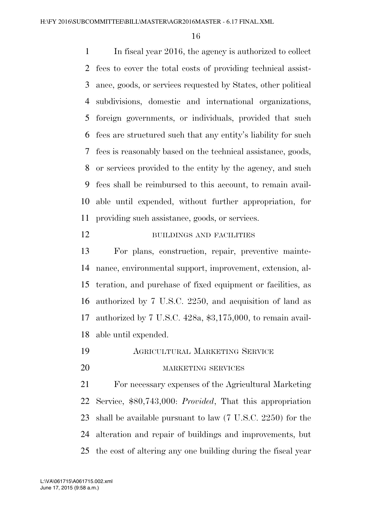In fiscal year 2016, the agency is authorized to collect fees to cover the total costs of providing technical assist- ance, goods, or services requested by States, other political subdivisions, domestic and international organizations, foreign governments, or individuals, provided that such fees are structured such that any entity's liability for such fees is reasonably based on the technical assistance, goods, or services provided to the entity by the agency, and such fees shall be reimbursed to this account, to remain avail- able until expended, without further appropriation, for providing such assistance, goods, or services.

12 BUILDINGS AND FACILITIES

 For plans, construction, repair, preventive mainte- nance, environmental support, improvement, extension, al- teration, and purchase of fixed equipment or facilities, as authorized by 7 U.S.C. 2250, and acquisition of land as authorized by 7 U.S.C. 428a, \$3,175,000, to remain avail-able until expended.

- AGRICULTURAL MARKETING SERVICE
- 

### 20 MARKETING SERVICES

 For necessary expenses of the Agricultural Marketing Service, \$80,743,000: *Provided*, That this appropriation shall be available pursuant to law (7 U.S.C. 2250) for the alteration and repair of buildings and improvements, but the cost of altering any one building during the fiscal year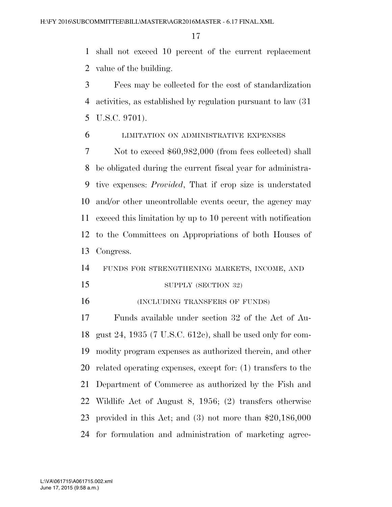shall not exceed 10 percent of the current replacement value of the building.

 Fees may be collected for the cost of standardization activities, as established by regulation pursuant to law (31 U.S.C. 9701).

LIMITATION ON ADMINISTRATIVE EXPENSES

 Not to exceed \$60,982,000 (from fees collected) shall be obligated during the current fiscal year for administra- tive expenses: *Provided*, That if crop size is understated and/or other uncontrollable events occur, the agency may exceed this limitation by up to 10 percent with notification to the Committees on Appropriations of both Houses of Congress.

FUNDS FOR STRENGTHENING MARKETS, INCOME, AND

15 SUPPLY (SECTION 32)

**INCLUDING TRANSFERS OF FUNDS** 

 Funds available under section 32 of the Act of Au- gust 24, 1935 (7 U.S.C. 612c), shall be used only for com- modity program expenses as authorized therein, and other related operating expenses, except for: (1) transfers to the Department of Commerce as authorized by the Fish and Wildlife Act of August 8, 1956; (2) transfers otherwise provided in this Act; and (3) not more than \$20,186,000 for formulation and administration of marketing agree-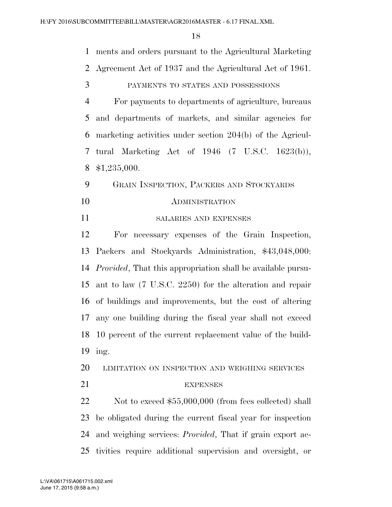ments and orders pursuant to the Agricultural Marketing Agreement Act of 1937 and the Agricultural Act of 1961.

PAYMENTS TO STATES AND POSSESSIONS

 For payments to departments of agriculture, bureaus and departments of markets, and similar agencies for marketing activities under section 204(b) of the Agricul- tural Marketing Act of 1946 (7 U.S.C. 1623(b)), \$1,235,000.

 GRAIN INSPECTION, PACKERS AND STOCKYARDS ADMINISTRATION

SALARIES AND EXPENSES

 For necessary expenses of the Grain Inspection, Packers and Stockyards Administration, \$43,048,000: *Provided*, That this appropriation shall be available pursu- ant to law (7 U.S.C. 2250) for the alteration and repair of buildings and improvements, but the cost of altering any one building during the fiscal year shall not exceed 10 percent of the current replacement value of the build-ing.

LIMITATION ON INSPECTION AND WEIGHING SERVICES

# 21 EXPENSES

22 Not to exceed \$55,000,000 (from fees collected) shall be obligated during the current fiscal year for inspection and weighing services: *Provided*, That if grain export ac-tivities require additional supervision and oversight, or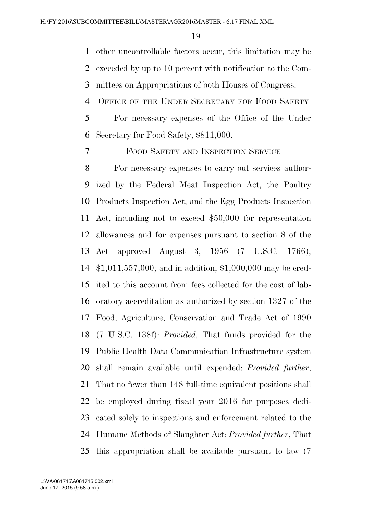other uncontrollable factors occur, this limitation may be exceeded by up to 10 percent with notification to the Com-mittees on Appropriations of both Houses of Congress.

4 OFFICE OF THE UNDER SECRETARY FOR FOOD SAFETY

 For necessary expenses of the Office of the Under Secretary for Food Safety, \$811,000.

FOOD SAFETY AND INSPECTION SERVICE

 For necessary expenses to carry out services author- ized by the Federal Meat Inspection Act, the Poultry Products Inspection Act, and the Egg Products Inspection Act, including not to exceed \$50,000 for representation allowances and for expenses pursuant to section 8 of the Act approved August 3, 1956 (7 U.S.C. 1766), \$1,011,557,000; and in addition, \$1,000,000 may be cred- ited to this account from fees collected for the cost of lab- oratory accreditation as authorized by section 1327 of the Food, Agriculture, Conservation and Trade Act of 1990 (7 U.S.C. 138f): *Provided*, That funds provided for the Public Health Data Communication Infrastructure system shall remain available until expended: *Provided further*, That no fewer than 148 full-time equivalent positions shall be employed during fiscal year 2016 for purposes dedi- cated solely to inspections and enforcement related to the Humane Methods of Slaughter Act: *Provided further*, That this appropriation shall be available pursuant to law (7

June 17, 2015 (9:58 a.m.) L:\VA\061715\A061715.002.xml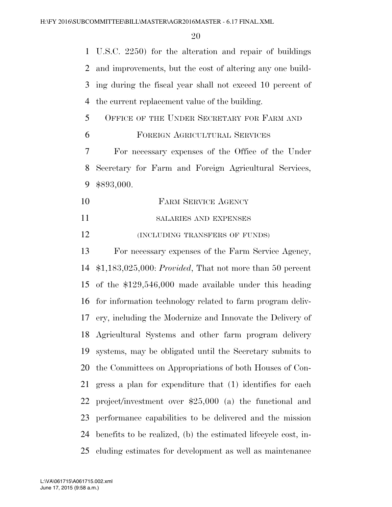U.S.C. 2250) for the alteration and repair of buildings and improvements, but the cost of altering any one build- ing during the fiscal year shall not exceed 10 percent of the current replacement value of the building. 5 OFFICE OF THE UNDER SECRETARY FOR FARM AND FOREIGN AGRICULTURAL SERVICES For necessary expenses of the Office of the Under Secretary for Farm and Foreign Agricultural Services, \$893,000. 10 FARM SERVICE AGENCY SALARIES AND EXPENSES **(INCLUDING TRANSFERS OF FUNDS)**  For necessary expenses of the Farm Service Agency, \$1,183,025,000: *Provided*, That not more than 50 percent of the \$129,546,000 made available under this heading for information technology related to farm program deliv- ery, including the Modernize and Innovate the Delivery of Agricultural Systems and other farm program delivery systems, may be obligated until the Secretary submits to the Committees on Appropriations of both Houses of Con- gress a plan for expenditure that (1) identifies for each project/investment over \$25,000 (a) the functional and performance capabilities to be delivered and the mission benefits to be realized, (b) the estimated lifecycle cost, in-cluding estimates for development as well as maintenance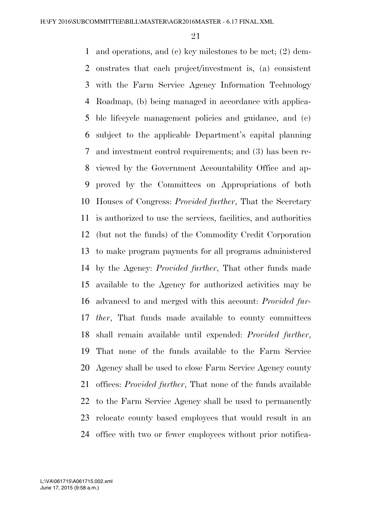and operations, and (c) key milestones to be met; (2) dem- onstrates that each project/investment is, (a) consistent with the Farm Service Agency Information Technology Roadmap, (b) being managed in accordance with applica- ble lifecycle management policies and guidance, and (c) subject to the applicable Department's capital planning and investment control requirements; and (3) has been re- viewed by the Government Accountability Office and ap- proved by the Committees on Appropriations of both Houses of Congress: *Provided further*, That the Secretary is authorized to use the services, facilities, and authorities (but not the funds) of the Commodity Credit Corporation to make program payments for all programs administered by the Agency: *Provided further*, That other funds made available to the Agency for authorized activities may be advanced to and merged with this account: *Provided fur- ther*, That funds made available to county committees shall remain available until expended: *Provided further*, That none of the funds available to the Farm Service Agency shall be used to close Farm Service Agency county offices: *Provided further*, That none of the funds available to the Farm Service Agency shall be used to permanently relocate county based employees that would result in an office with two or fewer employees without prior notifica-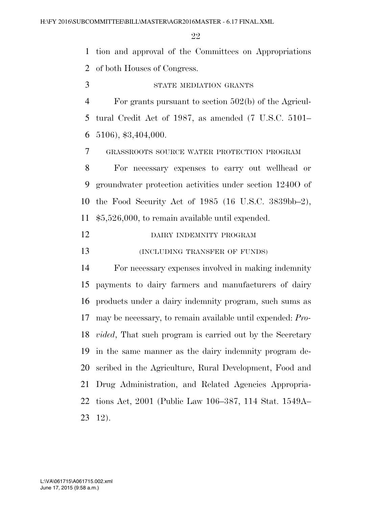tion and approval of the Committees on Appropriations of both Houses of Congress.

STATE MEDIATION GRANTS

 For grants pursuant to section 502(b) of the Agricul- tural Credit Act of 1987, as amended (7 U.S.C. 5101– 5106), \$3,404,000.

GRASSROOTS SOURCE WATER PROTECTION PROGRAM

 For necessary expenses to carry out wellhead or groundwater protection activities under section 1240O of the Food Security Act of 1985 (16 U.S.C. 3839bb–2), \$5,526,000, to remain available until expended.

DAIRY INDEMNITY PROGRAM

**(INCLUDING TRANSFER OF FUNDS)** 

 For necessary expenses involved in making indemnity payments to dairy farmers and manufacturers of dairy products under a dairy indemnity program, such sums as may be necessary, to remain available until expended: *Pro- vided*, That such program is carried out by the Secretary in the same manner as the dairy indemnity program de- scribed in the Agriculture, Rural Development, Food and Drug Administration, and Related Agencies Appropria- tions Act, 2001 (Public Law 106–387, 114 Stat. 1549A– 12).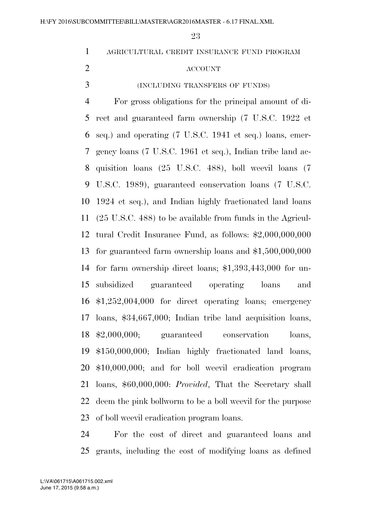| $\mathbf{1}$   | AGRICULTURAL CREDIT INSURANCE FUND PROGRAM                            |
|----------------|-----------------------------------------------------------------------|
| $\overline{2}$ | <b>ACCOUNT</b>                                                        |
| 3              | (INCLUDING TRANSFERS OF FUNDS)                                        |
| $\overline{4}$ | For gross obligations for the principal amount of di-                 |
| 5              | rect and guaranteed farm ownership (7 U.S.C. 1922 et                  |
| 6              | seq.) and operating (7 U.S.C. 1941 et seq.) loans, emer-              |
| 7              | gency loans (7 U.S.C. 1961 et seq.), Indian tribe land ac-            |
| 8              | quisition loans (25 U.S.C. 488), boll weevil loans (7                 |
| 9              | U.S.C. 1989), guaranteed conservation loans (7 U.S.C.                 |
| 10             | 1924 et seq.), and Indian highly fractionated land loans              |
| 11             | $(25 \text{ U.S.C. } 488)$ to be available from funds in the Agricul- |
| 12             | tural Credit Insurance Fund, as follows: $$2,000,000,000$             |
| 13             | for guaranteed farm ownership loans and $$1,500,000,000$              |
| 14             | for farm ownership direct loans; $$1,393,443,000$ for un-             |
| 15             | subsidized guaranteed operating loans<br>and                          |
|                | 16 \$1,252,004,000 for direct operating loans; emergency              |
| 17             | loans, $$34,667,000$ ; Indian tribe land acquisition loans,           |
|                | 18 \$2,000,000; guaranteed conservation<br>loans,                     |
|                | 19 \$150,000,000; Indian highly fractionated land loans,              |
| 20             | \$10,000,000; and for boll weevil eradication program                 |
| 21             | loans, \$60,000,000: Provided, That the Secretary shall               |
| 22             | deem the pink bollworm to be a boll weevil for the purpose            |
|                | 23 of boll weevil eradication program loans.                          |

 For the cost of direct and guaranteed loans and grants, including the cost of modifying loans as defined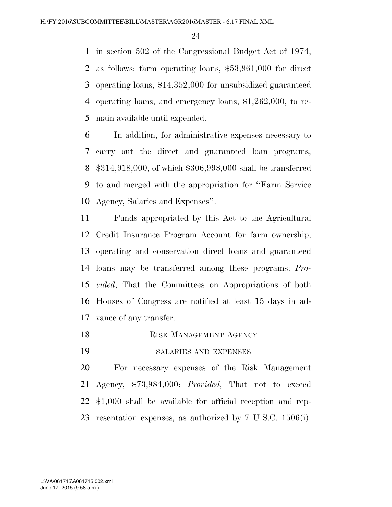in section 502 of the Congressional Budget Act of 1974, as follows: farm operating loans, \$53,961,000 for direct operating loans, \$14,352,000 for unsubsidized guaranteed operating loans, and emergency loans, \$1,262,000, to re-main available until expended.

 In addition, for administrative expenses necessary to carry out the direct and guaranteed loan programs, \$314,918,000, of which \$306,998,000 shall be transferred to and merged with the appropriation for ''Farm Service Agency, Salaries and Expenses''.

 Funds appropriated by this Act to the Agricultural Credit Insurance Program Account for farm ownership, operating and conservation direct loans and guaranteed loans may be transferred among these programs: *Pro- vided*, That the Committees on Appropriations of both Houses of Congress are notified at least 15 days in ad-vance of any transfer.

- 18 RISK MANAGEMENT AGENCY
- SALARIES AND EXPENSES

 For necessary expenses of the Risk Management Agency, \$73,984,000: *Provided*, That not to exceed \$1,000 shall be available for official reception and rep-resentation expenses, as authorized by 7 U.S.C. 1506(i).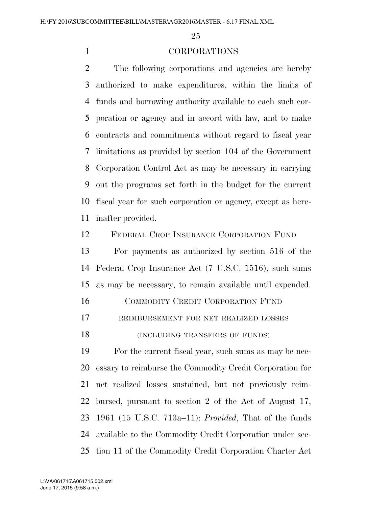### CORPORATIONS

 The following corporations and agencies are hereby authorized to make expenditures, within the limits of funds and borrowing authority available to each such cor- poration or agency and in accord with law, and to make contracts and commitments without regard to fiscal year limitations as provided by section 104 of the Government Corporation Control Act as may be necessary in carrying out the programs set forth in the budget for the current fiscal year for such corporation or agency, except as here-inafter provided.

FEDERAL CROP INSURANCE CORPORATION FUND

 For payments as authorized by section 516 of the Federal Crop Insurance Act (7 U.S.C. 1516), such sums as may be necessary, to remain available until expended.

COMMODITY CREDIT CORPORATION FUND

REIMBURSEMENT FOR NET REALIZED LOSSES

18 (INCLUDING TRANSFERS OF FUNDS)

 For the current fiscal year, such sums as may be nec- essary to reimburse the Commodity Credit Corporation for net realized losses sustained, but not previously reim- bursed, pursuant to section 2 of the Act of August 17, 1961 (15 U.S.C. 713a–11): *Provided*, That of the funds available to the Commodity Credit Corporation under sec-tion 11 of the Commodity Credit Corporation Charter Act

June 17, 2015 (9:58 a.m.) L:\VA\061715\A061715.002.xml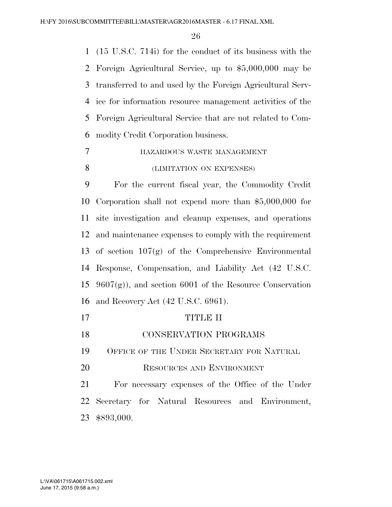(15 U.S.C. 714i) for the conduct of its business with the Foreign Agricultural Service, up to \$5,000,000 may be transferred to and used by the Foreign Agricultural Serv- ice for information resource management activities of the Foreign Agricultural Service that are not related to Com-modity Credit Corporation business.

- HAZARDOUS WASTE MANAGEMENT
- 8 (LIMITATION ON EXPENSES)

 For the current fiscal year, the Commodity Credit Corporation shall not expend more than \$5,000,000 for site investigation and cleanup expenses, and operations and maintenance expenses to comply with the requirement of section 107(g) of the Comprehensive Environmental Response, Compensation, and Liability Act (42 U.S.C.  $9607(g)$ , and section 6001 of the Resource Conservation and Recovery Act (42 U.S.C. 6961).

- 17 TITLE II
- CONSERVATION PROGRAMS

OFFICE OF THE UNDER SECRETARY FOR NATURAL

RESOURCES AND ENVIRONMENT

 For necessary expenses of the Office of the Under Secretary for Natural Resources and Environment, \$893,000.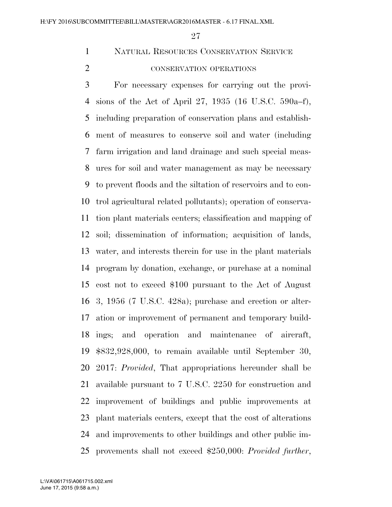NATURAL RESOURCES CONSERVATION SERVICE

# 2 CONSERVATION OPERATIONS

 For necessary expenses for carrying out the provi- sions of the Act of April 27, 1935 (16 U.S.C. 590a–f), including preparation of conservation plans and establish- ment of measures to conserve soil and water (including farm irrigation and land drainage and such special meas- ures for soil and water management as may be necessary to prevent floods and the siltation of reservoirs and to con- trol agricultural related pollutants); operation of conserva- tion plant materials centers; classification and mapping of soil; dissemination of information; acquisition of lands, water, and interests therein for use in the plant materials program by donation, exchange, or purchase at a nominal cost not to exceed \$100 pursuant to the Act of August 3, 1956 (7 U.S.C. 428a); purchase and erection or alter- ation or improvement of permanent and temporary build- ings; and operation and maintenance of aircraft, \$832,928,000, to remain available until September 30, 2017: *Provided*, That appropriations hereunder shall be available pursuant to 7 U.S.C. 2250 for construction and improvement of buildings and public improvements at plant materials centers, except that the cost of alterations and improvements to other buildings and other public im-provements shall not exceed \$250,000: *Provided further*,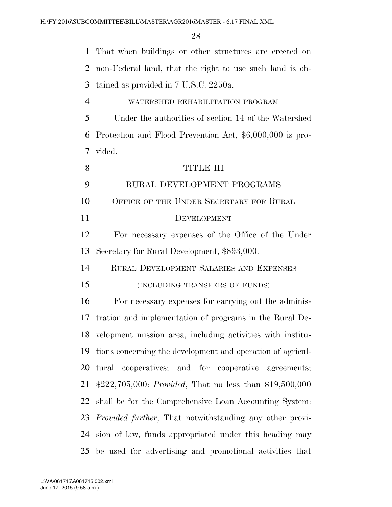| $\mathbf{1}$   | That when buildings or other structures are erected on          |
|----------------|-----------------------------------------------------------------|
| 2              | non-Federal land, that the right to use such land is ob-        |
| 3              | tained as provided in 7 U.S.C. 2250a.                           |
| $\overline{4}$ | WATERSHED REHABILITATION PROGRAM                                |
| 5              | Under the authorities of section 14 of the Watershed            |
| 6              | Protection and Flood Prevention Act, \$6,000,000 is pro-        |
| 7              | vided.                                                          |
| 8              | <b>TITLE III</b>                                                |
| 9              | RURAL DEVELOPMENT PROGRAMS                                      |
| 10             | OFFICE OF THE UNDER SECRETARY FOR RURAL                         |
| 11             | DEVELOPMENT                                                     |
| 12             | For necessary expenses of the Office of the Under               |
| 13             | Secretary for Rural Development, \$893,000.                     |
| 14             | RURAL DEVELOPMENT SALARIES AND EXPENSES                         |
| 15             | (INCLUDING TRANSFERS OF FUNDS)                                  |
| 16             | For necessary expenses for carrying out the adminis-            |
| 17             | tration and implementation of programs in the Rural De-         |
|                | 18 velopment mission area, including activities with institu-   |
| 19             | tions concerning the development and operation of agricul-      |
| 20             | tural cooperatives; and for cooperative agreements;             |
| 21             | \$222,705,000: <i>Provided</i> , That no less than \$19,500,000 |
| 22             | shall be for the Comprehensive Loan Accounting System:          |
| 23             | <i>Provided further</i> , That notwithstanding any other provi- |
| 24             | sion of law, funds appropriated under this heading may          |
| 25             | be used for advertising and promotional activities that         |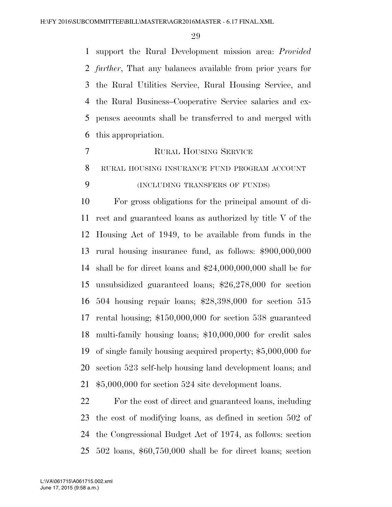support the Rural Development mission area: *Provided further*, That any balances available from prior years for the Rural Utilities Service, Rural Housing Service, and the Rural Business–Cooperative Service salaries and ex- penses accounts shall be transferred to and merged with this appropriation.

RURAL HOUSING SERVICE

RURAL HOUSING INSURANCE FUND PROGRAM ACCOUNT

# (INCLUDING TRANSFERS OF FUNDS)

 For gross obligations for the principal amount of di- rect and guaranteed loans as authorized by title V of the Housing Act of 1949, to be available from funds in the rural housing insurance fund, as follows: \$900,000,000 shall be for direct loans and \$24,000,000,000 shall be for unsubsidized guaranteed loans; \$26,278,000 for section 504 housing repair loans; \$28,398,000 for section 515 rental housing; \$150,000,000 for section 538 guaranteed multi-family housing loans; \$10,000,000 for credit sales of single family housing acquired property; \$5,000,000 for section 523 self-help housing land development loans; and \$5,000,000 for section 524 site development loans.

 For the cost of direct and guaranteed loans, including the cost of modifying loans, as defined in section 502 of the Congressional Budget Act of 1974, as follows: section 502 loans, \$60,750,000 shall be for direct loans; section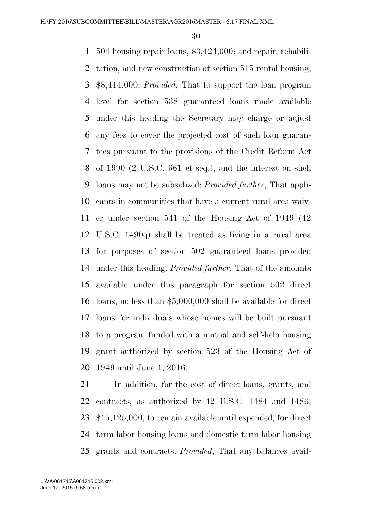504 housing repair loans, \$3,424,000; and repair, rehabili- tation, and new construction of section 515 rental housing, \$8,414,000: *Provided*, That to support the loan program level for section 538 guaranteed loans made available under this heading the Secretary may charge or adjust any fees to cover the projected cost of such loan guaran- tees pursuant to the provisions of the Credit Reform Act of 1990 (2 U.S.C. 661 et seq.), and the interest on such loans may not be subsidized: *Provided further*, That appli- cants in communities that have a current rural area waiv- er under section 541 of the Housing Act of 1949 (42 U.S.C. 1490q) shall be treated as living in a rural area for purposes of section 502 guaranteed loans provided under this heading: *Provided further*, That of the amounts available under this paragraph for section 502 direct loans, no less than \$5,000,000 shall be available for direct loans for individuals whose homes will be built pursuant to a program funded with a mutual and self-help housing grant authorized by section 523 of the Housing Act of 1949 until June 1, 2016.

 In addition, for the cost of direct loans, grants, and contracts, as authorized by 42 U.S.C. 1484 and 1486, \$15,125,000, to remain available until expended, for direct farm labor housing loans and domestic farm labor housing grants and contracts: *Provided*, That any balances avail-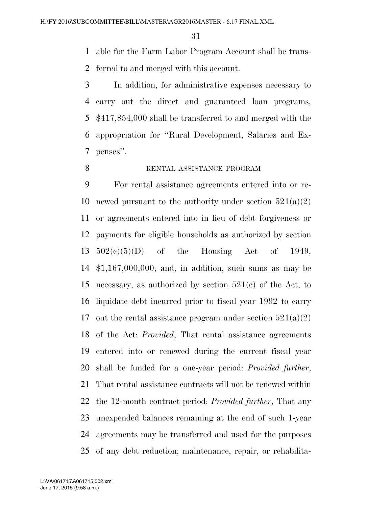able for the Farm Labor Program Account shall be trans-ferred to and merged with this account.

 In addition, for administrative expenses necessary to carry out the direct and guaranteed loan programs, \$417,854,000 shall be transferred to and merged with the appropriation for ''Rural Development, Salaries and Ex-penses''.

# 8 RENTAL ASSISTANCE PROGRAM

 For rental assistance agreements entered into or re-10 newed pursuant to the authority under section  $521(a)(2)$  or agreements entered into in lieu of debt forgiveness or payments for eligible households as authorized by section 502(c)(5)(D) of the Housing Act of 1949, \$1,167,000,000; and, in addition, such sums as may be necessary, as authorized by section 521(c) of the Act, to liquidate debt incurred prior to fiscal year 1992 to carry 17 out the rental assistance program under section  $521(a)(2)$  of the Act: *Provided*, That rental assistance agreements entered into or renewed during the current fiscal year shall be funded for a one-year period: *Provided further*, That rental assistance contracts will not be renewed within the 12-month contract period: *Provided further*, That any unexpended balances remaining at the end of such 1-year agreements may be transferred and used for the purposes of any debt reduction; maintenance, repair, or rehabilita-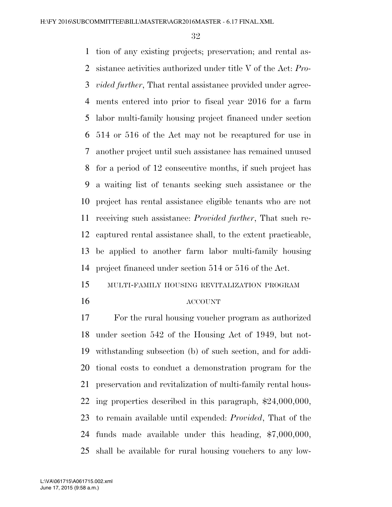tion of any existing projects; preservation; and rental as- sistance activities authorized under title V of the Act: *Pro- vided further*, That rental assistance provided under agree- ments entered into prior to fiscal year 2016 for a farm labor multi-family housing project financed under section 514 or 516 of the Act may not be recaptured for use in another project until such assistance has remained unused for a period of 12 consecutive months, if such project has a waiting list of tenants seeking such assistance or the project has rental assistance eligible tenants who are not receiving such assistance: *Provided further*, That such re- captured rental assistance shall, to the extent practicable, be applied to another farm labor multi-family housing project financed under section 514 or 516 of the Act.

- MULTI-FAMILY HOUSING REVITALIZATION PROGRAM
	-

#### ACCOUNT

 For the rural housing voucher program as authorized under section 542 of the Housing Act of 1949, but not- withstanding subsection (b) of such section, and for addi- tional costs to conduct a demonstration program for the preservation and revitalization of multi-family rental hous- ing properties described in this paragraph, \$24,000,000, to remain available until expended: *Provided*, That of the funds made available under this heading, \$7,000,000, shall be available for rural housing vouchers to any low-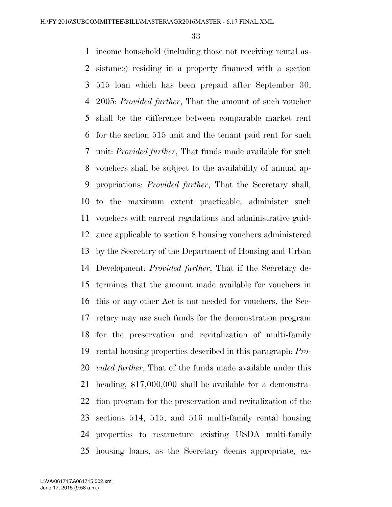income household (including those not receiving rental as- sistance) residing in a property financed with a section 515 loan which has been prepaid after September 30, 2005: *Provided further*, That the amount of such voucher shall be the difference between comparable market rent for the section 515 unit and the tenant paid rent for such unit: *Provided further*, That funds made available for such vouchers shall be subject to the availability of annual ap- propriations: *Provided further*, That the Secretary shall, to the maximum extent practicable, administer such vouchers with current regulations and administrative guid- ance applicable to section 8 housing vouchers administered by the Secretary of the Department of Housing and Urban Development: *Provided further*, That if the Secretary de- termines that the amount made available for vouchers in this or any other Act is not needed for vouchers, the Sec- retary may use such funds for the demonstration program for the preservation and revitalization of multi-family rental housing properties described in this paragraph: *Pro- vided further*, That of the funds made available under this heading, \$17,000,000 shall be available for a demonstra- tion program for the preservation and revitalization of the sections 514, 515, and 516 multi-family rental housing properties to restructure existing USDA multi-family housing loans, as the Secretary deems appropriate, ex-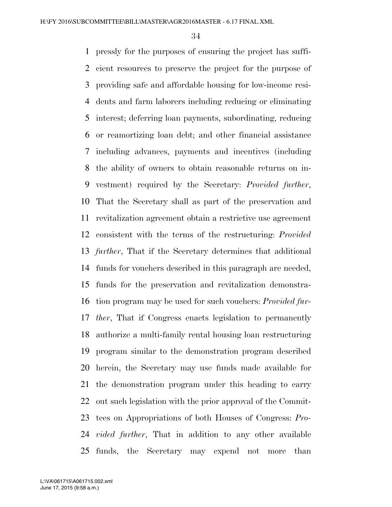pressly for the purposes of ensuring the project has suffi- cient resources to preserve the project for the purpose of providing safe and affordable housing for low-income resi- dents and farm laborers including reducing or eliminating interest; deferring loan payments, subordinating, reducing or reamortizing loan debt; and other financial assistance including advances, payments and incentives (including the ability of owners to obtain reasonable returns on in- vestment) required by the Secretary: *Provided further*, That the Secretary shall as part of the preservation and revitalization agreement obtain a restrictive use agreement consistent with the terms of the restructuring: *Provided further*, That if the Secretary determines that additional funds for vouchers described in this paragraph are needed, funds for the preservation and revitalization demonstra- tion program may be used for such vouchers: *Provided fur- ther*, That if Congress enacts legislation to permanently authorize a multi-family rental housing loan restructuring program similar to the demonstration program described herein, the Secretary may use funds made available for the demonstration program under this heading to carry out such legislation with the prior approval of the Commit- tees on Appropriations of both Houses of Congress: *Pro- vided further*, That in addition to any other available funds, the Secretary may expend not more than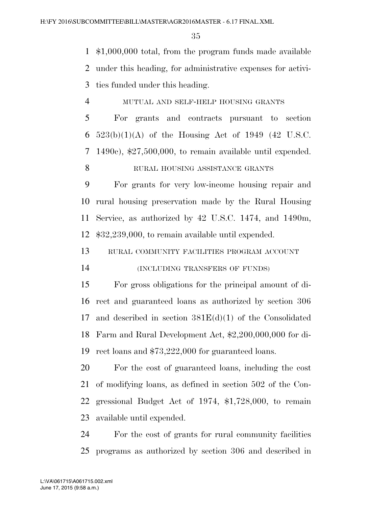\$1,000,000 total, from the program funds made available under this heading, for administrative expenses for activi-ties funded under this heading.

MUTUAL AND SELF-HELP HOUSING GRANTS

 For grants and contracts pursuant to section 6 523(b)(1)(A) of the Housing Act of 1949 (42 U.S.C. 1490c), \$27,500,000, to remain available until expended.

RURAL HOUSING ASSISTANCE GRANTS

 For grants for very low-income housing repair and rural housing preservation made by the Rural Housing Service, as authorized by 42 U.S.C. 1474, and 1490m, \$32,239,000, to remain available until expended.

RURAL COMMUNITY FACILITIES PROGRAM ACCOUNT

(INCLUDING TRANSFERS OF FUNDS)

 For gross obligations for the principal amount of di- rect and guaranteed loans as authorized by section 306 and described in section 381E(d)(1) of the Consolidated Farm and Rural Development Act, \$2,200,000,000 for di-rect loans and \$73,222,000 for guaranteed loans.

 For the cost of guaranteed loans, including the cost of modifying loans, as defined in section 502 of the Con- gressional Budget Act of 1974, \$1,728,000, to remain available until expended.

 For the cost of grants for rural community facilities programs as authorized by section 306 and described in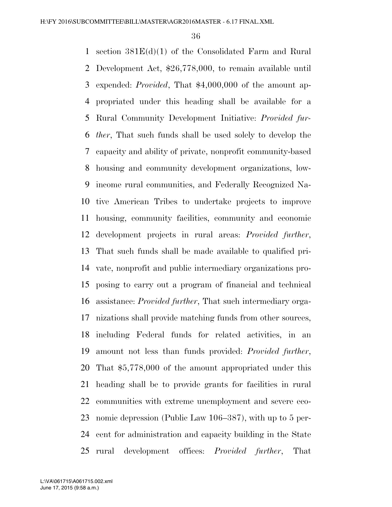section 381E(d)(1) of the Consolidated Farm and Rural Development Act, \$26,778,000, to remain available until expended: *Provided*, That \$4,000,000 of the amount ap- propriated under this heading shall be available for a Rural Community Development Initiative: *Provided fur- ther*, That such funds shall be used solely to develop the capacity and ability of private, nonprofit community-based housing and community development organizations, low- income rural communities, and Federally Recognized Na- tive American Tribes to undertake projects to improve housing, community facilities, community and economic development projects in rural areas: *Provided further*, That such funds shall be made available to qualified pri- vate, nonprofit and public intermediary organizations pro- posing to carry out a program of financial and technical assistance: *Provided further*, That such intermediary orga- nizations shall provide matching funds from other sources, including Federal funds for related activities, in an amount not less than funds provided: *Provided further*, That \$5,778,000 of the amount appropriated under this heading shall be to provide grants for facilities in rural communities with extreme unemployment and severe eco- nomic depression (Public Law 106–387), with up to 5 per- cent for administration and capacity building in the State rural development offices: *Provided further*, That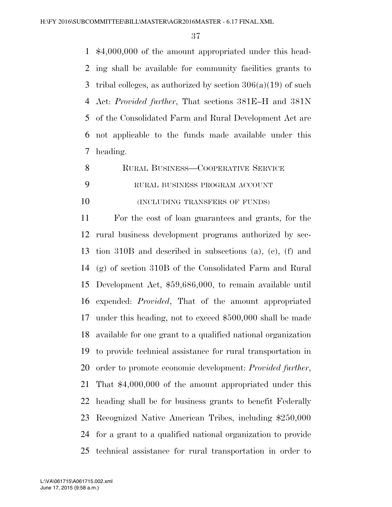\$4,000,000 of the amount appropriated under this head- ing shall be available for community facilities grants to 3 tribal colleges, as authorized by section  $306(a)(19)$  of such Act: *Provided further*, That sections 381E–H and 381N of the Consolidated Farm and Rural Development Act are not applicable to the funds made available under this heading.

- RURAL BUSINESS—COOPERATIVE SERVICE
- RURAL BUSINESS PROGRAM ACCOUNT

**(INCLUDING TRANSFERS OF FUNDS)** 

 For the cost of loan guarantees and grants, for the rural business development programs authorized by sec- tion 310B and described in subsections (a), (c), (f) and (g) of section 310B of the Consolidated Farm and Rural Development Act, \$59,686,000, to remain available until expended: *Provided*, That of the amount appropriated under this heading, not to exceed \$500,000 shall be made available for one grant to a qualified national organization to provide technical assistance for rural transportation in order to promote economic development: *Provided further*, That \$4,000,000 of the amount appropriated under this heading shall be for business grants to benefit Federally Recognized Native American Tribes, including \$250,000 for a grant to a qualified national organization to provide technical assistance for rural transportation in order to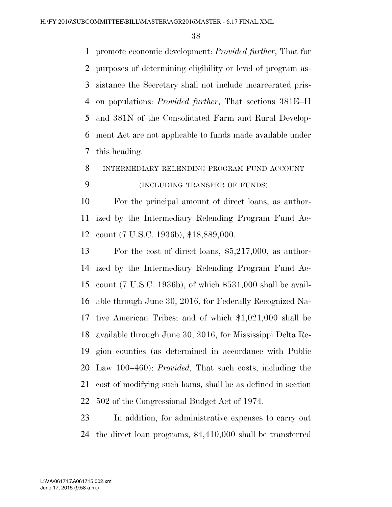promote economic development: *Provided further*, That for purposes of determining eligibility or level of program as- sistance the Secretary shall not include incarcerated pris- on populations: *Provided further*, That sections 381E–H and 381N of the Consolidated Farm and Rural Develop- ment Act are not applicable to funds made available under this heading.

INTERMEDIARY RELENDING PROGRAM FUND ACCOUNT

## (INCLUDING TRANSFER OF FUNDS)

 For the principal amount of direct loans, as author- ized by the Intermediary Relending Program Fund Ac-count (7 U.S.C. 1936b), \$18,889,000.

 For the cost of direct loans, \$5,217,000, as author- ized by the Intermediary Relending Program Fund Ac- count (7 U.S.C. 1936b), of which \$531,000 shall be avail- able through June 30, 2016, for Federally Recognized Na- tive American Tribes; and of which \$1,021,000 shall be available through June 30, 2016, for Mississippi Delta Re- gion counties (as determined in accordance with Public Law 100–460): *Provided*, That such costs, including the cost of modifying such loans, shall be as defined in section 502 of the Congressional Budget Act of 1974.

 In addition, for administrative expenses to carry out the direct loan programs, \$4,410,000 shall be transferred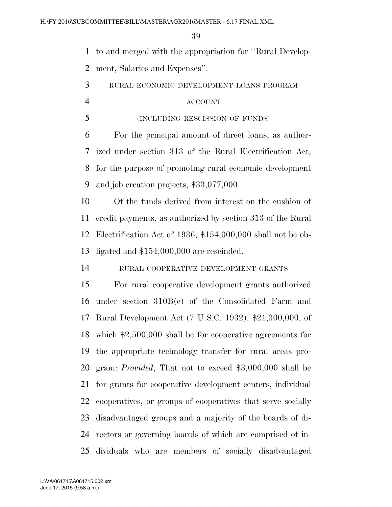to and merged with the appropriation for ''Rural Develop-ment, Salaries and Expenses''.

RURAL ECONOMIC DEVELOPMENT LOANS PROGRAM

#### ACCOUNT

(INCLUDING RESCISSION OF FUNDS)

 For the principal amount of direct loans, as author- ized under section 313 of the Rural Electrification Act, for the purpose of promoting rural economic development and job creation projects, \$33,077,000.

 Of the funds derived from interest on the cushion of credit payments, as authorized by section 313 of the Rural Electrification Act of 1936, \$154,000,000 shall not be ob-ligated and \$154,000,000 are rescinded.

RURAL COOPERATIVE DEVELOPMENT GRANTS

 For rural cooperative development grants authorized under section 310B(e) of the Consolidated Farm and Rural Development Act (7 U.S.C. 1932), \$21,300,000, of which \$2,500,000 shall be for cooperative agreements for the appropriate technology transfer for rural areas pro- gram: *Provided*, That not to exceed \$3,000,000 shall be for grants for cooperative development centers, individual cooperatives, or groups of cooperatives that serve socially disadvantaged groups and a majority of the boards of di- rectors or governing boards of which are comprised of in-dividuals who are members of socially disadvantaged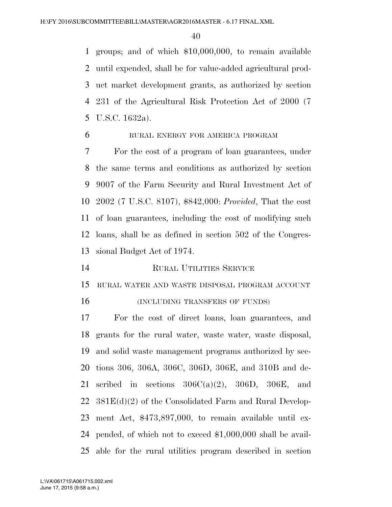groups; and of which \$10,000,000, to remain available until expended, shall be for value-added agricultural prod- uct market development grants, as authorized by section 231 of the Agricultural Risk Protection Act of 2000 (7 U.S.C. 1632a).

# RURAL ENERGY FOR AMERICA PROGRAM

 For the cost of a program of loan guarantees, under the same terms and conditions as authorized by section 9007 of the Farm Security and Rural Investment Act of 2002 (7 U.S.C. 8107), \$842,000: *Provided*, That the cost of loan guarantees, including the cost of modifying such loans, shall be as defined in section 502 of the Congres-sional Budget Act of 1974.

RURAL UTILITIES SERVICE

RURAL WATER AND WASTE DISPOSAL PROGRAM ACCOUNT

16 (INCLUDING TRANSFERS OF FUNDS)

 For the cost of direct loans, loan guarantees, and grants for the rural water, waste water, waste disposal, and solid waste management programs authorized by sec- tions 306, 306A, 306C, 306D, 306E, and 310B and de-21 scribed in sections  $306C(a)(2)$ ,  $306D$ ,  $306E$ , and  $22 \quad 381E(d)(2)$  of the Consolidated Farm and Rural Develop- ment Act, \$473,897,000, to remain available until ex- pended, of which not to exceed \$1,000,000 shall be avail-able for the rural utilities program described in section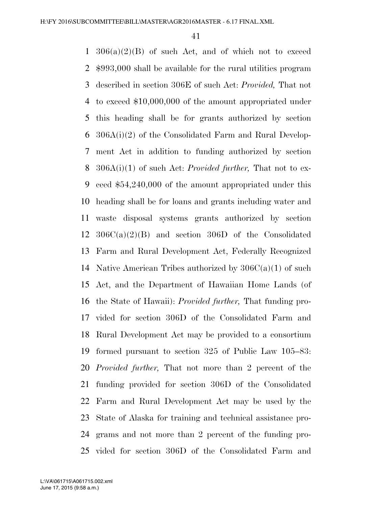$1 \cdot 306(a)(2)(B)$  of such Act, and of which not to exceed \$993,000 shall be available for the rural utilities program described in section 306E of such Act: *Provided,* That not to exceed \$10,000,000 of the amount appropriated under this heading shall be for grants authorized by section 306A(i)(2) of the Consolidated Farm and Rural Develop- ment Act in addition to funding authorized by section 306A(i)(1) of such Act: *Provided further,* That not to ex- ceed \$54,240,000 of the amount appropriated under this heading shall be for loans and grants including water and waste disposal systems grants authorized by section 306C(a)(2)(B) and section 306D of the Consolidated Farm and Rural Development Act, Federally Recognized 14 Native American Tribes authorized by  $306C(a)(1)$  of such Act, and the Department of Hawaiian Home Lands (of the State of Hawaii): *Provided further,* That funding pro- vided for section 306D of the Consolidated Farm and Rural Development Act may be provided to a consortium formed pursuant to section 325 of Public Law 105–83: *Provided further,* That not more than 2 percent of the funding provided for section 306D of the Consolidated Farm and Rural Development Act may be used by the State of Alaska for training and technical assistance pro- grams and not more than 2 percent of the funding pro-vided for section 306D of the Consolidated Farm and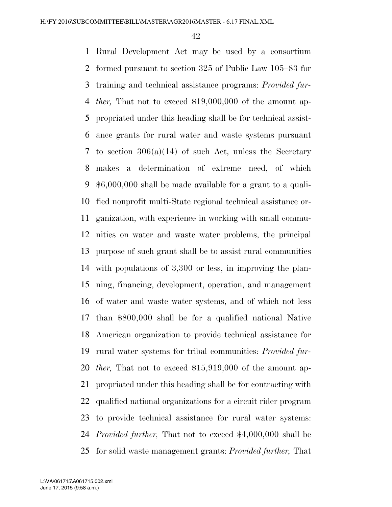Rural Development Act may be used by a consortium formed pursuant to section 325 of Public Law 105–83 for training and technical assistance programs: *Provided fur- ther,* That not to exceed \$19,000,000 of the amount ap- propriated under this heading shall be for technical assist- ance grants for rural water and waste systems pursuant to section 306(a)(14) of such Act, unless the Secretary makes a determination of extreme need, of which \$6,000,000 shall be made available for a grant to a quali- fied nonprofit multi-State regional technical assistance or- ganization, with experience in working with small commu- nities on water and waste water problems, the principal purpose of such grant shall be to assist rural communities with populations of 3,300 or less, in improving the plan- ning, financing, development, operation, and management of water and waste water systems, and of which not less than \$800,000 shall be for a qualified national Native American organization to provide technical assistance for rural water systems for tribal communities: *Provided fur- ther,* That not to exceed \$15,919,000 of the amount ap- propriated under this heading shall be for contracting with qualified national organizations for a circuit rider program to provide technical assistance for rural water systems: *Provided further,* That not to exceed \$4,000,000 shall be for solid waste management grants: *Provided further,* That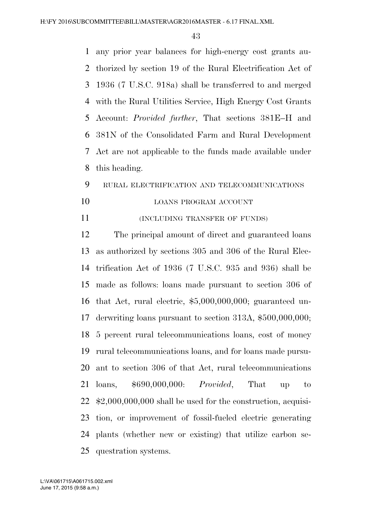any prior year balances for high-energy cost grants au- thorized by section 19 of the Rural Electrification Act of 1936 (7 U.S.C. 918a) shall be transferred to and merged with the Rural Utilities Service, High Energy Cost Grants Account: *Provided further*, That sections 381E–H and 381N of the Consolidated Farm and Rural Development Act are not applicable to the funds made available under this heading.

# RURAL ELECTRIFICATION AND TELECOMMUNICATIONS

- 10 LOANS PROGRAM ACCOUNT
- **INCLUDING TRANSFER OF FUNDS**)

 The principal amount of direct and guaranteed loans as authorized by sections 305 and 306 of the Rural Elec- trification Act of 1936 (7 U.S.C. 935 and 936) shall be made as follows: loans made pursuant to section 306 of that Act, rural electric, \$5,000,000,000; guaranteed un- derwriting loans pursuant to section 313A, \$500,000,000; 5 percent rural telecommunications loans, cost of money rural telecommunications loans, and for loans made pursu- ant to section 306 of that Act, rural telecommunications loans, \$690,000,000: *Provided*, That up to \$2,000,000,000 shall be used for the construction, acquisi- tion, or improvement of fossil-fueled electric generating plants (whether new or existing) that utilize carbon se-questration systems.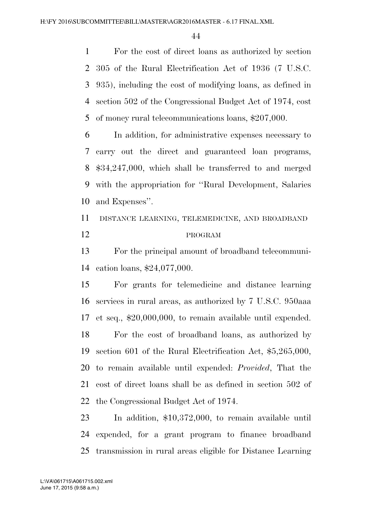For the cost of direct loans as authorized by section 305 of the Rural Electrification Act of 1936 (7 U.S.C. 935), including the cost of modifying loans, as defined in section 502 of the Congressional Budget Act of 1974, cost of money rural telecommunications loans, \$207,000.

 In addition, for administrative expenses necessary to carry out the direct and guaranteed loan programs, \$34,247,000, which shall be transferred to and merged with the appropriation for ''Rural Development, Salaries and Expenses''.

 DISTANCE LEARNING, TELEMEDICINE, AND BROADBAND PROGRAM

 For the principal amount of broadband telecommuni-cation loans, \$24,077,000.

 For grants for telemedicine and distance learning services in rural areas, as authorized by 7 U.S.C. 950aaa et seq., \$20,000,000, to remain available until expended. For the cost of broadband loans, as authorized by section 601 of the Rural Electrification Act, \$5,265,000, to remain available until expended: *Provided*, That the cost of direct loans shall be as defined in section 502 of the Congressional Budget Act of 1974.

 In addition, \$10,372,000, to remain available until expended, for a grant program to finance broadband transmission in rural areas eligible for Distance Learning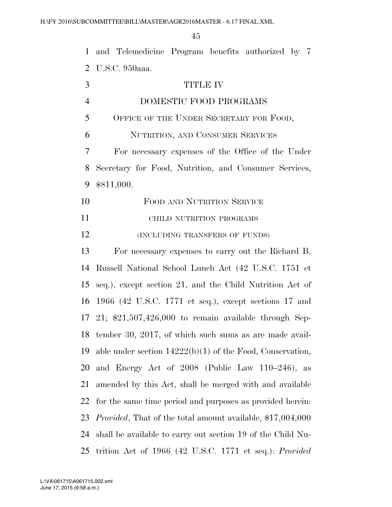| $\mathbf{1}$   | and Telemedicine Program benefits authorized by 7                  |
|----------------|--------------------------------------------------------------------|
| 2              | U.S.C. 950aaa.                                                     |
| 3              | <b>TITLE IV</b>                                                    |
| $\overline{4}$ | DOMESTIC FOOD PROGRAMS                                             |
| 5              | OFFICE OF THE UNDER SECRETARY FOR FOOD,                            |
| 6              | NUTRITION, AND CONSUMER SERVICES                                   |
| 7              | For necessary expenses of the Office of the Under                  |
| 8              | Secretary for Food, Nutrition, and Consumer Services,              |
| 9              | \$811,000.                                                         |
| 10             | FOOD AND NUTRITION SERVICE                                         |
| 11             | CHILD NUTRITION PROGRAMS                                           |
| 12             | (INCLUDING TRANSFERS OF FUNDS)                                     |
| 13             | For necessary expenses to carry out the Richard B.                 |
| 14             | Russell National School Lunch Act (42 U.S.C. 1751 et               |
| 15             | seq.), except section 21, and the Child Nutrition Act of           |
| 16             | 1966 (42 U.S.C. 1771 et seq.), except sections 17 and              |
| 17             | 21; $$21,507,426,000$ to remain available through Sep-             |
| 18             | tember 30, 2017, of which such sums as are made avail-             |
| 19             | able under section $14222(b)(1)$ of the Food, Conservation,        |
| 20             | and Energy Act of 2008 (Public Law 110–246), as                    |
| 21             | amended by this Act, shall be merged with and available            |
| 22             | for the same time period and purposes as provided herein.          |
| 23             | <i>Provided</i> , That of the total amount available, \$17,004,000 |
| 24             | shall be available to carry out section 19 of the Child Nu-        |
| 25             | trition Act of 1966 (42 U.S.C. 1771 et seq.): Provided             |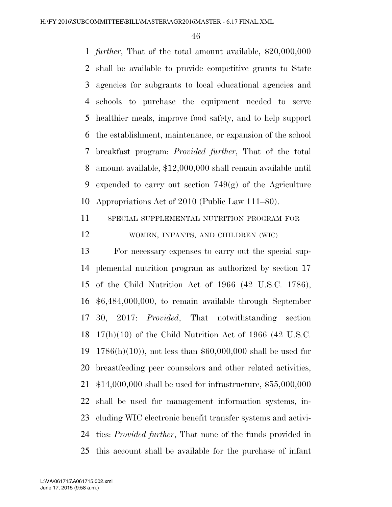*further*, That of the total amount available, \$20,000,000 shall be available to provide competitive grants to State agencies for subgrants to local educational agencies and schools to purchase the equipment needed to serve healthier meals, improve food safety, and to help support the establishment, maintenance, or expansion of the school breakfast program: *Provided further*, That of the total amount available, \$12,000,000 shall remain available until 9 expended to carry out section  $749(g)$  of the Agriculture Appropriations Act of 2010 (Public Law 111–80).

 SPECIAL SUPPLEMENTAL NUTRITION PROGRAM FOR WOMEN, INFANTS, AND CHILDREN (WIC)

 For necessary expenses to carry out the special sup- plemental nutrition program as authorized by section 17 of the Child Nutrition Act of 1966 (42 U.S.C. 1786), \$6,484,000,000, to remain available through September 30, 2017: *Provided*, That notwithstanding section 17(h)(10) of the Child Nutrition Act of 1966 (42 U.S.C. 1786(h)(10)), not less than \$60,000,000 shall be used for breastfeeding peer counselors and other related activities, \$14,000,000 shall be used for infrastructure, \$55,000,000 shall be used for management information systems, in- cluding WIC electronic benefit transfer systems and activi- ties: *Provided further*, That none of the funds provided in this account shall be available for the purchase of infant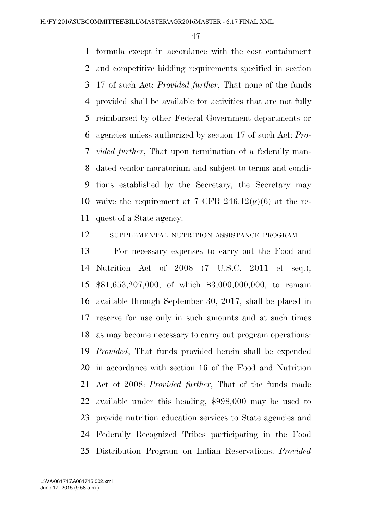formula except in accordance with the cost containment and competitive bidding requirements specified in section 17 of such Act: *Provided further*, That none of the funds provided shall be available for activities that are not fully reimbursed by other Federal Government departments or agencies unless authorized by section 17 of such Act: *Pro- vided further*, That upon termination of a federally man- dated vendor moratorium and subject to terms and condi- tions established by the Secretary, the Secretary may 10 waive the requirement at 7 CFR  $246.12(g)(6)$  at the re-quest of a State agency.

SUPPLEMENTAL NUTRITION ASSISTANCE PROGRAM

 For necessary expenses to carry out the Food and Nutrition Act of 2008 (7 U.S.C. 2011 et seq.), \$81,653,207,000, of which \$3,000,000,000, to remain available through September 30, 2017, shall be placed in reserve for use only in such amounts and at such times as may become necessary to carry out program operations: *Provided*, That funds provided herein shall be expended in accordance with section 16 of the Food and Nutrition Act of 2008: *Provided further*, That of the funds made available under this heading, \$998,000 may be used to provide nutrition education services to State agencies and Federally Recognized Tribes participating in the Food Distribution Program on Indian Reservations: *Provided*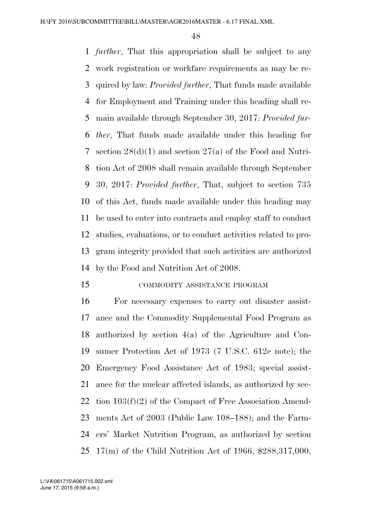*further*, That this appropriation shall be subject to any work registration or workfare requirements as may be re- quired by law: *Provided further*, That funds made available for Employment and Training under this heading shall re- main available through September 30, 2017: *Provided fur- ther*, That funds made available under this heading for section 28(d)(1) and section 27(a) of the Food and Nutri- tion Act of 2008 shall remain available through September 30, 2017: *Provided further*, That, subject to section 735 of this Act, funds made available under this heading may be used to enter into contracts and employ staff to conduct studies, evaluations, or to conduct activities related to pro- gram integrity provided that such activities are authorized by the Food and Nutrition Act of 2008.

15 COMMODITY ASSISTANCE PROGRAM

 For necessary expenses to carry out disaster assist- ance and the Commodity Supplemental Food Program as authorized by section 4(a) of the Agriculture and Con- sumer Protection Act of 1973 (7 U.S.C. 612c note); the Emergency Food Assistance Act of 1983; special assist- ance for the nuclear affected islands, as authorized by sec- tion 103(f)(2) of the Compact of Free Association Amend- ments Act of 2003 (Public Law 108–188); and the Farm- ers' Market Nutrition Program, as authorized by section 17(m) of the Child Nutrition Act of 1966, \$288,317,000,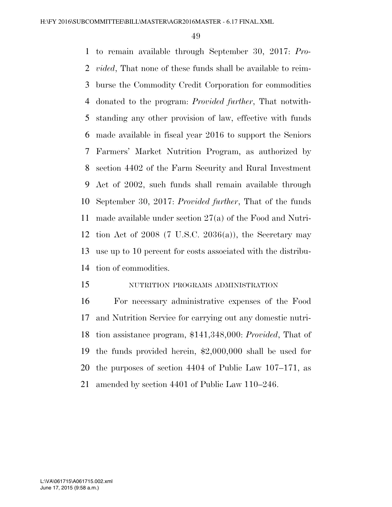to remain available through September 30, 2017: *Pro- vided*, That none of these funds shall be available to reim- burse the Commodity Credit Corporation for commodities donated to the program: *Provided further*, That notwith- standing any other provision of law, effective with funds made available in fiscal year 2016 to support the Seniors Farmers' Market Nutrition Program, as authorized by section 4402 of the Farm Security and Rural Investment Act of 2002, such funds shall remain available through September 30, 2017: *Provided further*, That of the funds made available under section 27(a) of the Food and Nutri-12 tion Act of (7 U.S.C.  $2036(a)$ ), the Secretary may use up to 10 percent for costs associated with the distribu-tion of commodities.

## NUTRITION PROGRAMS ADMINISTRATION

 For necessary administrative expenses of the Food and Nutrition Service for carrying out any domestic nutri- tion assistance program, \$141,348,000: *Provided*, That of the funds provided herein, \$2,000,000 shall be used for the purposes of section 4404 of Public Law 107–171, as amended by section 4401 of Public Law 110–246.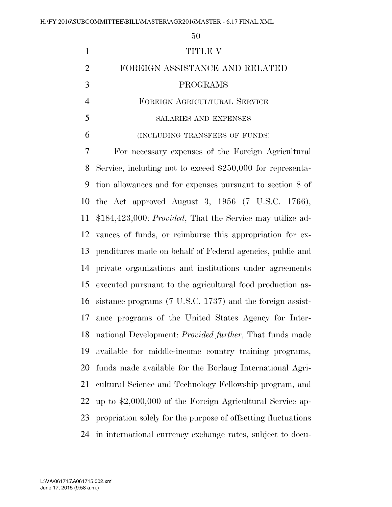|   | TITLE V                                            |
|---|----------------------------------------------------|
| 2 | FOREIGN ASSISTANCE AND RELATED                     |
| 3 | PROGRAMS                                           |
|   | FOREIGN AGRICULTURAL SERVICE                       |
|   | <b>SALARIES AND EXPENSES</b>                       |
| 6 | (INCLUDING TRANSFERS OF FUNDS)                     |
|   | For necessary expenses of the Foreign Agricultural |

 Service, including not to exceed \$250,000 for representa- tion allowances and for expenses pursuant to section 8 of the Act approved August 3, 1956 (7 U.S.C. 1766), \$184,423,000: *Provided*, That the Service may utilize ad- vances of funds, or reimburse this appropriation for ex- penditures made on behalf of Federal agencies, public and private organizations and institutions under agreements executed pursuant to the agricultural food production as- sistance programs (7 U.S.C. 1737) and the foreign assist- ance programs of the United States Agency for Inter- national Development: *Provided further*, That funds made available for middle-income country training programs, funds made available for the Borlaug International Agri- cultural Science and Technology Fellowship program, and up to \$2,000,000 of the Foreign Agricultural Service ap- propriation solely for the purpose of offsetting fluctuations in international currency exchange rates, subject to docu-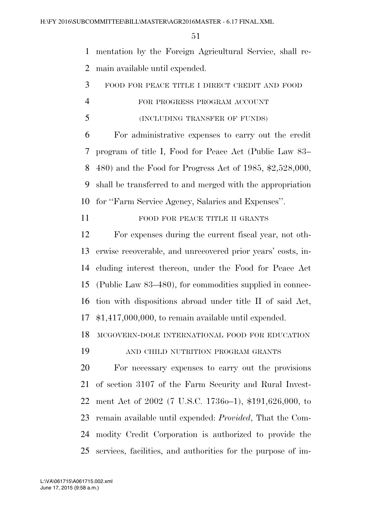mentation by the Foreign Agricultural Service, shall re-main available until expended.

- FOOD FOR PEACE TITLE I DIRECT CREDIT AND FOOD FOR PROGRESS PROGRAM ACCOUNT
- (INCLUDING TRANSFER OF FUNDS)

 For administrative expenses to carry out the credit program of title I, Food for Peace Act (Public Law 83– 480) and the Food for Progress Act of 1985, \$2,528,000, shall be transferred to and merged with the appropriation for ''Farm Service Agency, Salaries and Expenses''.

11 FOOD FOR PEACE TITLE II GRANTS

 For expenses during the current fiscal year, not oth- erwise recoverable, and unrecovered prior years' costs, in- cluding interest thereon, under the Food for Peace Act (Public Law 83–480), for commodities supplied in connec- tion with dispositions abroad under title II of said Act, \$1,417,000,000, to remain available until expended.

MCGOVERN-DOLE INTERNATIONAL FOOD FOR EDUCATION

AND CHILD NUTRITION PROGRAM GRANTS

 For necessary expenses to carry out the provisions of section 3107 of the Farm Security and Rural Invest- ment Act of 2002 (7 U.S.C. 1736o–1), \$191,626,000, to remain available until expended: *Provided*, That the Com- modity Credit Corporation is authorized to provide the services, facilities, and authorities for the purpose of im-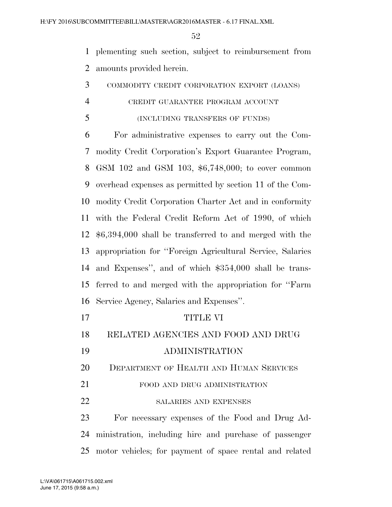plementing such section, subject to reimbursement from amounts provided herein.

COMMODITY CREDIT CORPORATION EXPORT (LOANS)

## CREDIT GUARANTEE PROGRAM ACCOUNT

(INCLUDING TRANSFERS OF FUNDS)

 For administrative expenses to carry out the Com- modity Credit Corporation's Export Guarantee Program, GSM 102 and GSM 103, \$6,748,000; to cover common overhead expenses as permitted by section 11 of the Com- modity Credit Corporation Charter Act and in conformity with the Federal Credit Reform Act of 1990, of which \$6,394,000 shall be transferred to and merged with the appropriation for ''Foreign Agricultural Service, Salaries and Expenses'', and of which \$354,000 shall be trans- ferred to and merged with the appropriation for ''Farm Service Agency, Salaries and Expenses''.

- 17 TITLE VI RELATED AGENCIES AND FOOD AND DRUG ADMINISTRATION DEPARTMENT OF HEALTH AND HUMAN SERVICES
- 21 FOOD AND DRUG ADMINISTRATION
- 22 SALARIES AND EXPENSES

 For necessary expenses of the Food and Drug Ad- ministration, including hire and purchase of passenger motor vehicles; for payment of space rental and related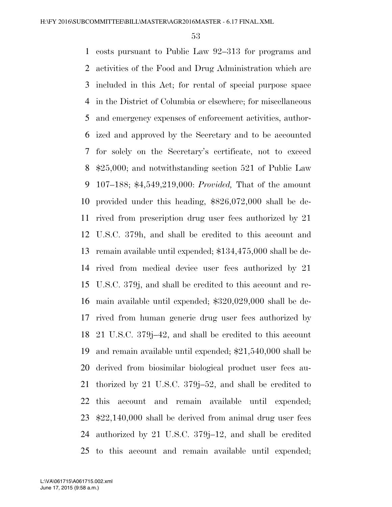costs pursuant to Public Law 92–313 for programs and activities of the Food and Drug Administration which are included in this Act; for rental of special purpose space in the District of Columbia or elsewhere; for miscellaneous and emergency expenses of enforcement activities, author- ized and approved by the Secretary and to be accounted for solely on the Secretary's certificate, not to exceed \$25,000; and notwithstanding section 521 of Public Law 107–188; \$4,549,219,000: *Provided,* That of the amount provided under this heading, \$826,072,000 shall be de- rived from prescription drug user fees authorized by 21 U.S.C. 379h, and shall be credited to this account and remain available until expended; \$134,475,000 shall be de- rived from medical device user fees authorized by 21 U.S.C. 379j, and shall be credited to this account and re- main available until expended; \$320,029,000 shall be de- rived from human generic drug user fees authorized by 21 U.S.C. 379j–42, and shall be credited to this account and remain available until expended; \$21,540,000 shall be derived from biosimilar biological product user fees au- thorized by 21 U.S.C. 379j–52, and shall be credited to this account and remain available until expended; \$22,140,000 shall be derived from animal drug user fees authorized by 21 U.S.C. 379j–12, and shall be credited to this account and remain available until expended;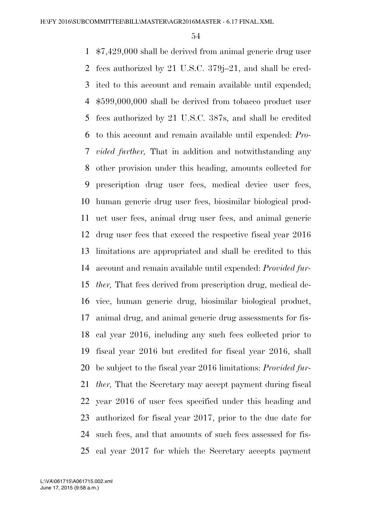\$7,429,000 shall be derived from animal generic drug user fees authorized by 21 U.S.C. 379j–21, and shall be cred- ited to this account and remain available until expended; \$599,000,000 shall be derived from tobacco product user fees authorized by 21 U.S.C. 387s, and shall be credited to this account and remain available until expended: *Pro- vided further,* That in addition and notwithstanding any other provision under this heading, amounts collected for prescription drug user fees, medical device user fees, human generic drug user fees, biosimilar biological prod- uct user fees, animal drug user fees, and animal generic drug user fees that exceed the respective fiscal year 2016 limitations are appropriated and shall be credited to this account and remain available until expended: *Provided fur- ther,* That fees derived from prescription drug, medical de- vice, human generic drug, biosimilar biological product, animal drug, and animal generic drug assessments for fis- cal year 2016, including any such fees collected prior to fiscal year 2016 but credited for fiscal year 2016, shall be subject to the fiscal year 2016 limitations: *Provided fur- ther,* That the Secretary may accept payment during fiscal year 2016 of user fees specified under this heading and authorized for fiscal year 2017, prior to the due date for such fees, and that amounts of such fees assessed for fis-cal year 2017 for which the Secretary accepts payment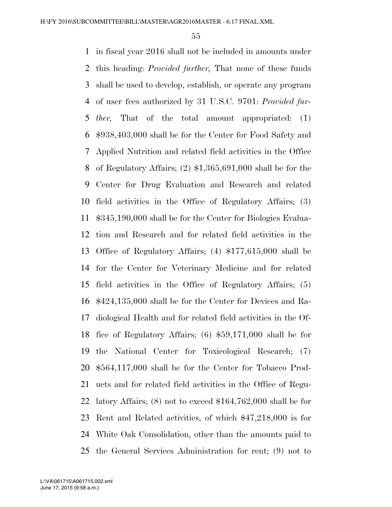in fiscal year 2016 shall not be included in amounts under this heading: *Provided further,* That none of these funds shall be used to develop, establish, or operate any program of user fees authorized by 31 U.S.C. 9701: *Provided fur- ther,* That of the total amount appropriated: (1) \$938,403,000 shall be for the Center for Food Safety and Applied Nutrition and related field activities in the Office of Regulatory Affairs; (2) \$1,365,691,000 shall be for the Center for Drug Evaluation and Research and related field activities in the Office of Regulatory Affairs; (3) \$345,190,000 shall be for the Center for Biologics Evalua- tion and Research and for related field activities in the Office of Regulatory Affairs; (4) \$177,615,000 shall be for the Center for Veterinary Medicine and for related field activities in the Office of Regulatory Affairs; (5) \$424,135,000 shall be for the Center for Devices and Ra- diological Health and for related field activities in the Of- fice of Regulatory Affairs; (6) \$59,171,000 shall be for the National Center for Toxicological Research; (7) \$564,117,000 shall be for the Center for Tobacco Prod- ucts and for related field activities in the Office of Regu- latory Affairs; (8) not to exceed \$164,762,000 shall be for Rent and Related activities, of which \$47,218,000 is for White Oak Consolidation, other than the amounts paid to the General Services Administration for rent; (9) not to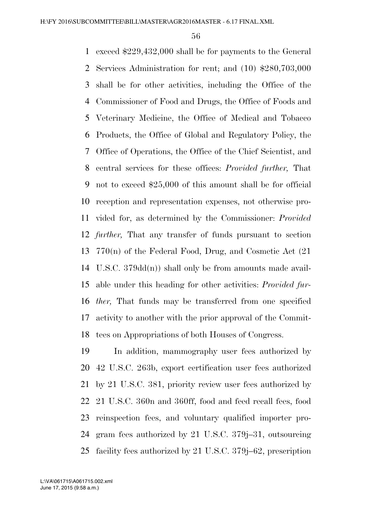exceed \$229,432,000 shall be for payments to the General Services Administration for rent; and (10) \$280,703,000 shall be for other activities, including the Office of the Commissioner of Food and Drugs, the Office of Foods and Veterinary Medicine, the Office of Medical and Tobacco Products, the Office of Global and Regulatory Policy, the Office of Operations, the Office of the Chief Scientist, and central services for these offices: *Provided further,* That not to exceed \$25,000 of this amount shall be for official reception and representation expenses, not otherwise pro- vided for, as determined by the Commissioner: *Provided further,* That any transfer of funds pursuant to section 770(n) of the Federal Food, Drug, and Cosmetic Act (21 U.S.C. 379dd(n)) shall only be from amounts made avail- able under this heading for other activities: *Provided fur- ther,* That funds may be transferred from one specified activity to another with the prior approval of the Commit-tees on Appropriations of both Houses of Congress.

 In addition, mammography user fees authorized by 42 U.S.C. 263b, export certification user fees authorized by 21 U.S.C. 381, priority review user fees authorized by 21 U.S.C. 360n and 360ff, food and feed recall fees, food reinspection fees, and voluntary qualified importer pro- gram fees authorized by 21 U.S.C. 379j–31, outsourcing facility fees authorized by 21 U.S.C. 379j–62, prescription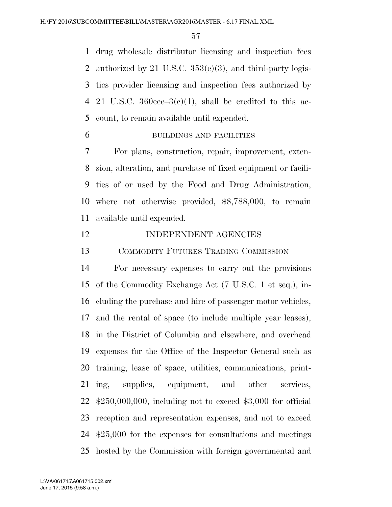drug wholesale distributor licensing and inspection fees authorized by 21 U.S.C. 353(e)(3), and third-party logis- tics provider licensing and inspection fees authorized by 4 21 U.S.C. 360eee– $3(c)(1)$ , shall be credited to this ac-count, to remain available until expended.

BUILDINGS AND FACILITIES

 For plans, construction, repair, improvement, exten- sion, alteration, and purchase of fixed equipment or facili- ties of or used by the Food and Drug Administration, where not otherwise provided, \$8,788,000, to remain available until expended.

## 12 INDEPENDENT AGENCIES

COMMODITY FUTURES TRADING COMMISSION

 For necessary expenses to carry out the provisions of the Commodity Exchange Act (7 U.S.C. 1 et seq.), in- cluding the purchase and hire of passenger motor vehicles, and the rental of space (to include multiple year leases), in the District of Columbia and elsewhere, and overhead expenses for the Office of the Inspector General such as training, lease of space, utilities, communications, print- ing, supplies, equipment, and other services, \$250,000,000, including not to exceed \$3,000 for official reception and representation expenses, and not to exceed \$25,000 for the expenses for consultations and meetings hosted by the Commission with foreign governmental and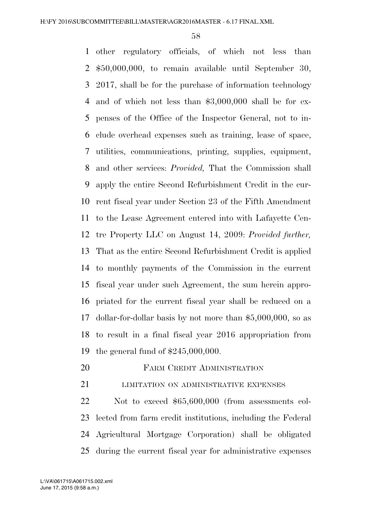other regulatory officials, of which not less than \$50,000,000, to remain available until September 30, 2017, shall be for the purchase of information technology and of which not less than \$3,000,000 shall be for ex- penses of the Office of the Inspector General, not to in- clude overhead expenses such as training, lease of space, utilities, communications, printing, supplies, equipment, and other services: *Provided,* That the Commission shall apply the entire Second Refurbishment Credit in the cur- rent fiscal year under Section 23 of the Fifth Amendment to the Lease Agreement entered into with Lafayette Cen- tre Property LLC on August 14, 2009: *Provided further,*  That as the entire Second Refurbishment Credit is applied to monthly payments of the Commission in the current fiscal year under such Agreement, the sum herein appro- priated for the current fiscal year shall be reduced on a dollar-for-dollar basis by not more than \$5,000,000, so as to result in a final fiscal year 2016 appropriation from the general fund of \$245,000,000.

**FARM CREDIT ADMINISTRATION** 

21 LIMITATION ON ADMINISTRATIVE EXPENSES

 Not to exceed \$65,600,000 (from assessments col- lected from farm credit institutions, including the Federal Agricultural Mortgage Corporation) shall be obligated during the current fiscal year for administrative expenses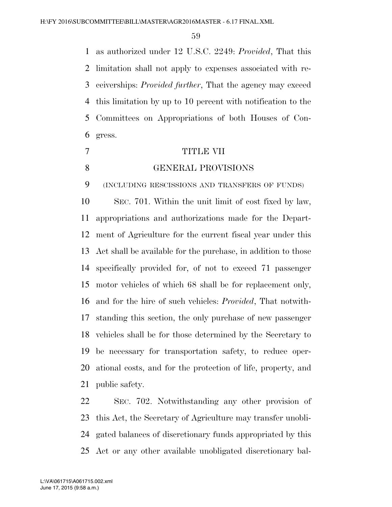as authorized under 12 U.S.C. 2249: *Provided*, That this limitation shall not apply to expenses associated with re- ceiverships: *Provided further*, That the agency may exceed this limitation by up to 10 percent with notification to the Committees on Appropriations of both Houses of Con-gress.

- TITLE VII
- 

#### GENERAL PROVISIONS

(INCLUDING RESCISSIONS AND TRANSFERS OF FUNDS)

 SEC. 701. Within the unit limit of cost fixed by law, appropriations and authorizations made for the Depart- ment of Agriculture for the current fiscal year under this Act shall be available for the purchase, in addition to those specifically provided for, of not to exceed 71 passenger motor vehicles of which 68 shall be for replacement only, and for the hire of such vehicles: *Provided*, That notwith- standing this section, the only purchase of new passenger vehicles shall be for those determined by the Secretary to be necessary for transportation safety, to reduce oper- ational costs, and for the protection of life, property, and public safety.

 SEC. 702. Notwithstanding any other provision of this Act, the Secretary of Agriculture may transfer unobli- gated balances of discretionary funds appropriated by this Act or any other available unobligated discretionary bal-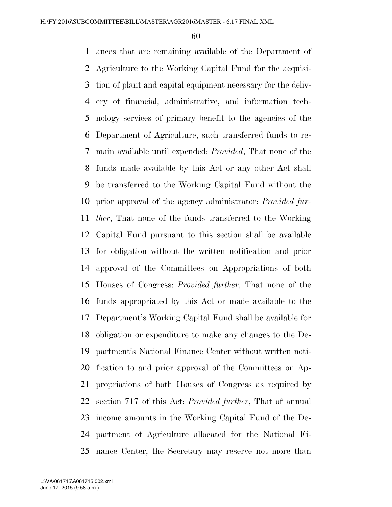ances that are remaining available of the Department of Agriculture to the Working Capital Fund for the acquisi- tion of plant and capital equipment necessary for the deliv- ery of financial, administrative, and information tech- nology services of primary benefit to the agencies of the Department of Agriculture, such transferred funds to re- main available until expended: *Provided*, That none of the funds made available by this Act or any other Act shall be transferred to the Working Capital Fund without the prior approval of the agency administrator: *Provided fur- ther*, That none of the funds transferred to the Working Capital Fund pursuant to this section shall be available for obligation without the written notification and prior approval of the Committees on Appropriations of both Houses of Congress: *Provided further*, That none of the funds appropriated by this Act or made available to the Department's Working Capital Fund shall be available for obligation or expenditure to make any changes to the De- partment's National Finance Center without written noti- fication to and prior approval of the Committees on Ap- propriations of both Houses of Congress as required by section 717 of this Act: *Provided further*, That of annual income amounts in the Working Capital Fund of the De- partment of Agriculture allocated for the National Fi-nance Center, the Secretary may reserve not more than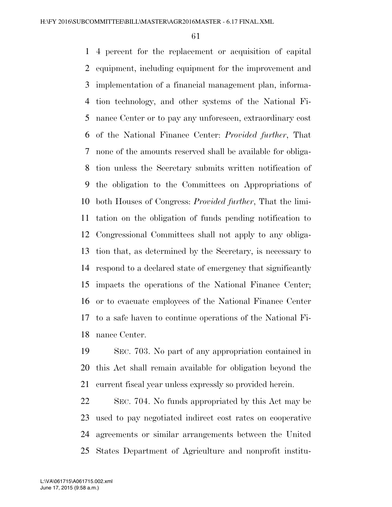4 percent for the replacement or acquisition of capital equipment, including equipment for the improvement and implementation of a financial management plan, informa- tion technology, and other systems of the National Fi- nance Center or to pay any unforeseen, extraordinary cost of the National Finance Center: *Provided further*, That none of the amounts reserved shall be available for obliga- tion unless the Secretary submits written notification of the obligation to the Committees on Appropriations of both Houses of Congress: *Provided further*, That the limi- tation on the obligation of funds pending notification to Congressional Committees shall not apply to any obliga- tion that, as determined by the Secretary, is necessary to respond to a declared state of emergency that significantly impacts the operations of the National Finance Center; or to evacuate employees of the National Finance Center to a safe haven to continue operations of the National Fi-nance Center.

 SEC. 703. No part of any appropriation contained in this Act shall remain available for obligation beyond the current fiscal year unless expressly so provided herein.

 SEC. 704. No funds appropriated by this Act may be used to pay negotiated indirect cost rates on cooperative agreements or similar arrangements between the United States Department of Agriculture and nonprofit institu-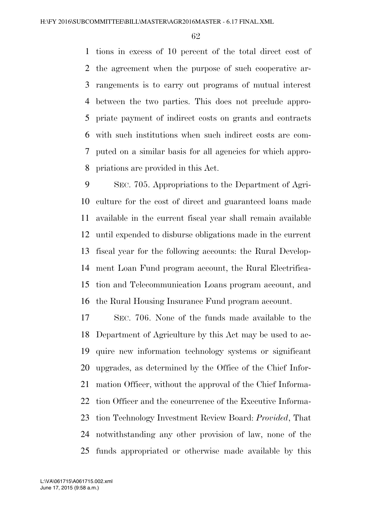tions in excess of 10 percent of the total direct cost of the agreement when the purpose of such cooperative ar- rangements is to carry out programs of mutual interest between the two parties. This does not preclude appro- priate payment of indirect costs on grants and contracts with such institutions when such indirect costs are com- puted on a similar basis for all agencies for which appro-priations are provided in this Act.

 SEC. 705. Appropriations to the Department of Agri- culture for the cost of direct and guaranteed loans made available in the current fiscal year shall remain available until expended to disburse obligations made in the current fiscal year for the following accounts: the Rural Develop- ment Loan Fund program account, the Rural Electrifica- tion and Telecommunication Loans program account, and the Rural Housing Insurance Fund program account.

 SEC. 706. None of the funds made available to the Department of Agriculture by this Act may be used to ac- quire new information technology systems or significant upgrades, as determined by the Office of the Chief Infor- mation Officer, without the approval of the Chief Informa- tion Officer and the concurrence of the Executive Informa- tion Technology Investment Review Board: *Provided*, That notwithstanding any other provision of law, none of the funds appropriated or otherwise made available by this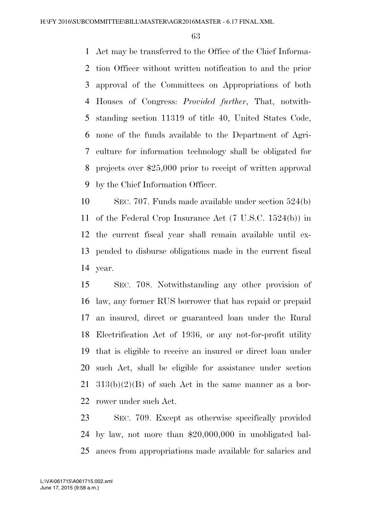Act may be transferred to the Office of the Chief Informa- tion Officer without written notification to and the prior approval of the Committees on Appropriations of both Houses of Congress: *Provided further*, That, notwith- standing section 11319 of title 40, United States Code, none of the funds available to the Department of Agri- culture for information technology shall be obligated for projects over \$25,000 prior to receipt of written approval by the Chief Information Officer.

 SEC. 707. Funds made available under section 524(b) of the Federal Crop Insurance Act (7 U.S.C. 1524(b)) in the current fiscal year shall remain available until ex- pended to disburse obligations made in the current fiscal year.

 SEC. 708. Notwithstanding any other provision of law, any former RUS borrower that has repaid or prepaid an insured, direct or guaranteed loan under the Rural Electrification Act of 1936, or any not-for-profit utility that is eligible to receive an insured or direct loan under such Act, shall be eligible for assistance under section  $21 \quad 313(b)(2)(B)$  of such Act in the same manner as a bor-rower under such Act.

 SEC. 709. Except as otherwise specifically provided by law, not more than \$20,000,000 in unobligated bal-ances from appropriations made available for salaries and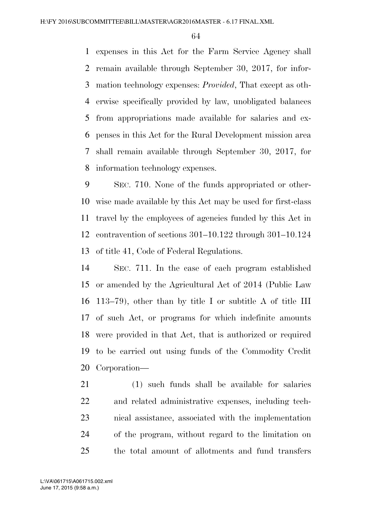expenses in this Act for the Farm Service Agency shall remain available through September 30, 2017, for infor- mation technology expenses: *Provided*, That except as oth- erwise specifically provided by law, unobligated balances from appropriations made available for salaries and ex- penses in this Act for the Rural Development mission area shall remain available through September 30, 2017, for information technology expenses.

 SEC. 710. None of the funds appropriated or other- wise made available by this Act may be used for first-class travel by the employees of agencies funded by this Act in contravention of sections 301–10.122 through 301–10.124 of title 41, Code of Federal Regulations.

 SEC. 711. In the case of each program established or amended by the Agricultural Act of 2014 (Public Law 113–79), other than by title I or subtitle A of title III of such Act, or programs for which indefinite amounts were provided in that Act, that is authorized or required to be carried out using funds of the Commodity Credit Corporation—

 (1) such funds shall be available for salaries and related administrative expenses, including tech- nical assistance, associated with the implementation of the program, without regard to the limitation on the total amount of allotments and fund transfers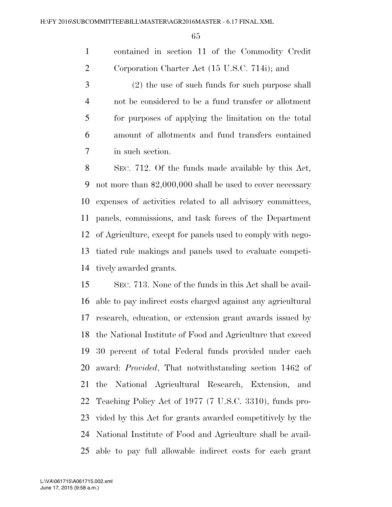contained in section 11 of the Commodity Credit Corporation Charter Act (15 U.S.C. 714i); and

 (2) the use of such funds for such purpose shall not be considered to be a fund transfer or allotment for purposes of applying the limitation on the total amount of allotments and fund transfers contained in such section.

 SEC. 712. Of the funds made available by this Act, not more than \$2,000,000 shall be used to cover necessary expenses of activities related to all advisory committees, panels, commissions, and task forces of the Department of Agriculture, except for panels used to comply with nego- tiated rule makings and panels used to evaluate competi-tively awarded grants.

 SEC. 713. None of the funds in this Act shall be avail- able to pay indirect costs charged against any agricultural research, education, or extension grant awards issued by the National Institute of Food and Agriculture that exceed 30 percent of total Federal funds provided under each award: *Provided*, That notwithstanding section 1462 of the National Agricultural Research, Extension, and Teaching Policy Act of 1977 (7 U.S.C. 3310), funds pro- vided by this Act for grants awarded competitively by the National Institute of Food and Agriculture shall be avail-able to pay full allowable indirect costs for each grant

June 17, 2015 (9:58 a.m.) L:\VA\061715\A061715.002.xml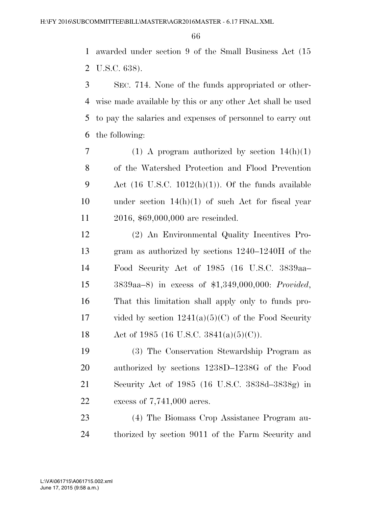awarded under section 9 of the Small Business Act (15 U.S.C. 638).

 SEC. 714. None of the funds appropriated or other- wise made available by this or any other Act shall be used to pay the salaries and expenses of personnel to carry out the following:

7 (1) A program authorized by section  $14(h)(1)$  of the Watershed Protection and Flood Prevention 9 Act  $(16 \text{ U.S.C. } 1012(h)(1))$ . Of the funds available under section 14(h)(1) of such Act for fiscal year 2016, \$69,000,000 are rescinded.

 (2) An Environmental Quality Incentives Pro- gram as authorized by sections 1240–1240H of the Food Security Act of 1985 (16 U.S.C. 3839aa– 3839aa–8) in excess of \$1,349,000,000: *Provided*, That this limitation shall apply only to funds pro-17 vided by section  $1241(a)(5)(C)$  of the Food Security 18 Act of 1985 (16 U.S.C.  $3841(a)(5)(C)$ ).

 (3) The Conservation Stewardship Program as authorized by sections 1238D–1238G of the Food Security Act of 1985 (16 U.S.C. 3838d–3838g) in excess of 7,741,000 acres.

 (4) The Biomass Crop Assistance Program au-thorized by section 9011 of the Farm Security and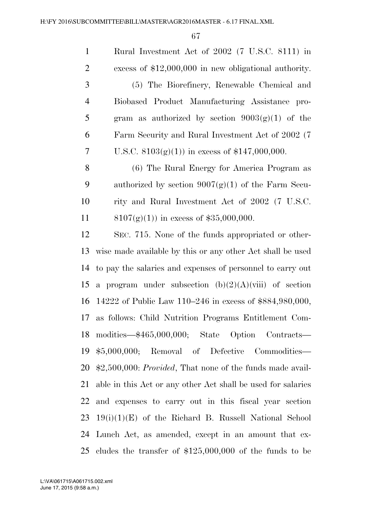Rural Investment Act of 2002 (7 U.S.C. 8111) in excess of \$12,000,000 in new obligational authority. (5) The Biorefinery, Renewable Chemical and Biobased Product Manufacturing Assistance pro-5 gram as authorized by section  $9003(g)(1)$  of the Farm Security and Rural Investment Act of 2002 (7 7 U.S.C.  $8103(g)(1)$  in excess of \$147,000,000.

 (6) The Rural Energy for America Program as 9 authorized by section  $9007(g)(1)$  of the Farm Secu- rity and Rural Investment Act of 2002 (7 U.S.C.  $8107(g)(1)$  in excess of \$35,000,000.

 SEC. 715. None of the funds appropriated or other- wise made available by this or any other Act shall be used to pay the salaries and expenses of personnel to carry out 15 a program under subsection  $(b)(2)(A)(viii)$  of section 14222 of Public Law 110–246 in excess of \$884,980,000, as follows: Child Nutrition Programs Entitlement Com- modities—\$465,000,000; State Option Contracts— \$5,000,000; Removal of Defective Commodities— \$2,500,000: *Provided*, That none of the funds made avail- able in this Act or any other Act shall be used for salaries and expenses to carry out in this fiscal year section  $23 \quad 19(i)(1)(E)$  of the Richard B. Russell National School Lunch Act, as amended, except in an amount that ex-cludes the transfer of \$125,000,000 of the funds to be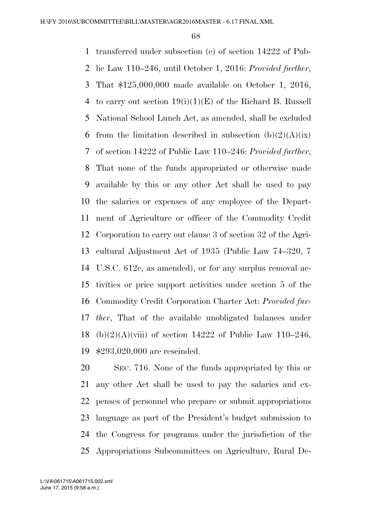transferred under subsection (c) of section 14222 of Pub- lic Law 110–246, until October 1, 2016: *Provided further*, That \$125,000,000 made available on October 1, 2016, 4 to carry out section  $19(i)(1)(E)$  of the Richard B. Russell National School Lunch Act, as amended, shall be excluded 6 from the limitation described in subsection  $(b)(2)(A)(ix)$  of section 14222 of Public Law 110–246: *Provided further*, That none of the funds appropriated or otherwise made available by this or any other Act shall be used to pay the salaries or expenses of any employee of the Depart- ment of Agriculture or officer of the Commodity Credit Corporation to carry out clause 3 of section 32 of the Agri- cultural Adjustment Act of 1935 (Public Law 74–320, 7 U.S.C. 612c, as amended), or for any surplus removal ac- tivities or price support activities under section 5 of the Commodity Credit Corporation Charter Act: *Provided fur- ther*, That of the available unobligated balances under 18 (b)(2)(A)(viii) of section 14222 of Public Law 110–246, \$293,020,000 are rescinded.

 SEC. 716. None of the funds appropriated by this or any other Act shall be used to pay the salaries and ex- penses of personnel who prepare or submit appropriations language as part of the President's budget submission to the Congress for programs under the jurisdiction of the Appropriations Subcommittees on Agriculture, Rural De-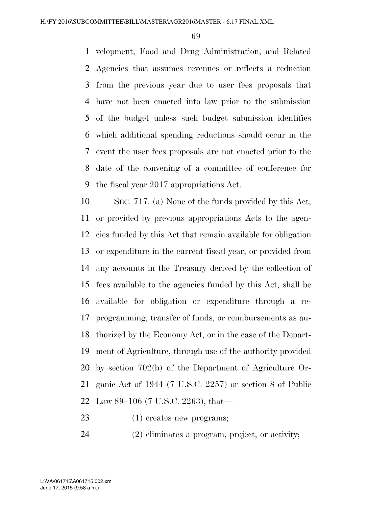velopment, Food and Drug Administration, and Related Agencies that assumes revenues or reflects a reduction from the previous year due to user fees proposals that have not been enacted into law prior to the submission of the budget unless such budget submission identifies which additional spending reductions should occur in the event the user fees proposals are not enacted prior to the date of the convening of a committee of conference for the fiscal year 2017 appropriations Act.

 SEC. 717. (a) None of the funds provided by this Act, or provided by previous appropriations Acts to the agen- cies funded by this Act that remain available for obligation or expenditure in the current fiscal year, or provided from any accounts in the Treasury derived by the collection of fees available to the agencies funded by this Act, shall be available for obligation or expenditure through a re- programming, transfer of funds, or reimbursements as au- thorized by the Economy Act, or in the case of the Depart- ment of Agriculture, through use of the authority provided by section 702(b) of the Department of Agriculture Or- ganic Act of 1944 (7 U.S.C. 2257) or section 8 of Public Law 89–106 (7 U.S.C. 2263), that—

- (1) creates new programs;
- (2) eliminates a program, project, or activity;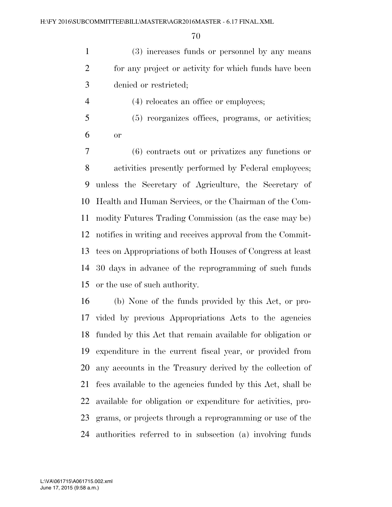(3) increases funds or personnel by any means for any project or activity for which funds have been denied or restricted;

4 (4) relocates an office or employees;

 (5) reorganizes offices, programs, or activities; or

 (6) contracts out or privatizes any functions or activities presently performed by Federal employees; unless the Secretary of Agriculture, the Secretary of Health and Human Services, or the Chairman of the Com- modity Futures Trading Commission (as the case may be) notifies in writing and receives approval from the Commit- tees on Appropriations of both Houses of Congress at least 30 days in advance of the reprogramming of such funds or the use of such authority.

 (b) None of the funds provided by this Act, or pro- vided by previous Appropriations Acts to the agencies funded by this Act that remain available for obligation or expenditure in the current fiscal year, or provided from any accounts in the Treasury derived by the collection of fees available to the agencies funded by this Act, shall be available for obligation or expenditure for activities, pro- grams, or projects through a reprogramming or use of the authorities referred to in subsection (a) involving funds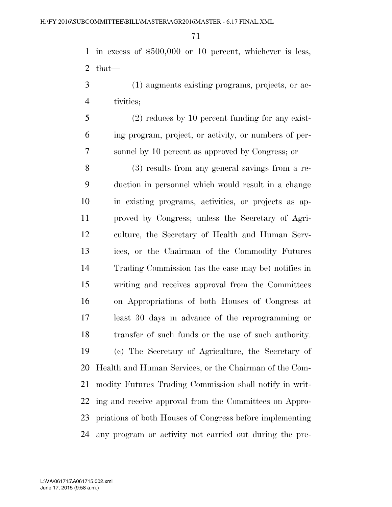in excess of \$500,000 or 10 percent, whichever is less, that—

- (1) augments existing programs, projects, or ac-tivities;
- (2) reduces by 10 percent funding for any exist- ing program, project, or activity, or numbers of per-sonnel by 10 percent as approved by Congress; or

 (3) results from any general savings from a re- duction in personnel which would result in a change in existing programs, activities, or projects as ap- proved by Congress; unless the Secretary of Agri- culture, the Secretary of Health and Human Serv- ices, or the Chairman of the Commodity Futures Trading Commission (as the case may be) notifies in writing and receives approval from the Committees on Appropriations of both Houses of Congress at least 30 days in advance of the reprogramming or transfer of such funds or the use of such authority. (c) The Secretary of Agriculture, the Secretary of Health and Human Services, or the Chairman of the Com- modity Futures Trading Commission shall notify in writ- ing and receive approval from the Committees on Appro- priations of both Houses of Congress before implementing any program or activity not carried out during the pre-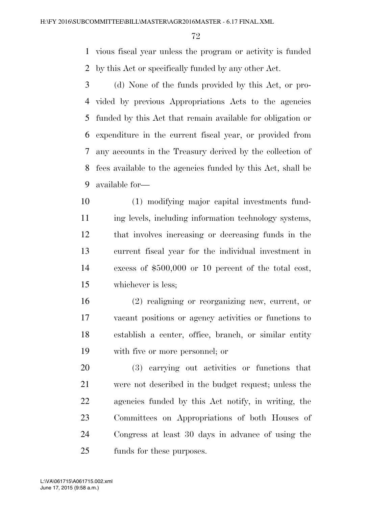vious fiscal year unless the program or activity is funded by this Act or specifically funded by any other Act.

 (d) None of the funds provided by this Act, or pro- vided by previous Appropriations Acts to the agencies funded by this Act that remain available for obligation or expenditure in the current fiscal year, or provided from any accounts in the Treasury derived by the collection of fees available to the agencies funded by this Act, shall be available for—

 (1) modifying major capital investments fund-11 ing levels, including information technology systems, that involves increasing or decreasing funds in the current fiscal year for the individual investment in excess of \$500,000 or 10 percent of the total cost, whichever is less;

 (2) realigning or reorganizing new, current, or vacant positions or agency activities or functions to establish a center, office, branch, or similar entity with five or more personnel; or

 (3) carrying out activities or functions that were not described in the budget request; unless the agencies funded by this Act notify, in writing, the Committees on Appropriations of both Houses of Congress at least 30 days in advance of using the funds for these purposes.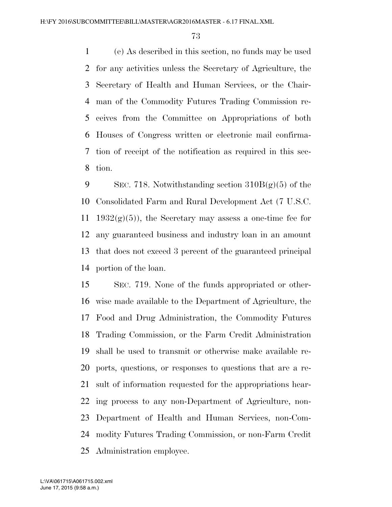(e) As described in this section, no funds may be used for any activities unless the Secretary of Agriculture, the Secretary of Health and Human Services, or the Chair- man of the Commodity Futures Trading Commission re- ceives from the Committee on Appropriations of both Houses of Congress written or electronic mail confirma- tion of receipt of the notification as required in this sec-tion.

9 SEC. 718. Notwithstanding section  $310B(g)(5)$  of the Consolidated Farm and Rural Development Act (7 U.S.C. 11 1932 $(g)(5)$ , the Secretary may assess a one-time fee for any guaranteed business and industry loan in an amount that does not exceed 3 percent of the guaranteed principal portion of the loan.

 SEC. 719. None of the funds appropriated or other- wise made available to the Department of Agriculture, the Food and Drug Administration, the Commodity Futures Trading Commission, or the Farm Credit Administration shall be used to transmit or otherwise make available re- ports, questions, or responses to questions that are a re- sult of information requested for the appropriations hear- ing process to any non-Department of Agriculture, non- Department of Health and Human Services, non-Com- modity Futures Trading Commission, or non-Farm Credit Administration employee.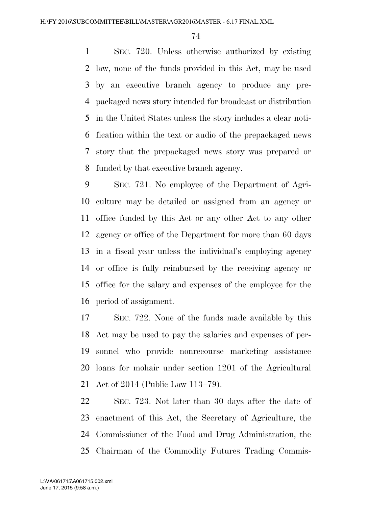SEC. 720. Unless otherwise authorized by existing law, none of the funds provided in this Act, may be used by an executive branch agency to produce any pre- packaged news story intended for broadcast or distribution in the United States unless the story includes a clear noti- fication within the text or audio of the prepackaged news story that the prepackaged news story was prepared or funded by that executive branch agency.

 SEC. 721. No employee of the Department of Agri- culture may be detailed or assigned from an agency or office funded by this Act or any other Act to any other agency or office of the Department for more than 60 days in a fiscal year unless the individual's employing agency or office is fully reimbursed by the receiving agency or office for the salary and expenses of the employee for the period of assignment.

 SEC. 722. None of the funds made available by this Act may be used to pay the salaries and expenses of per- sonnel who provide nonrecourse marketing assistance loans for mohair under section 1201 of the Agricultural Act of 2014 (Public Law 113–79).

 SEC. 723. Not later than 30 days after the date of enactment of this Act, the Secretary of Agriculture, the Commissioner of the Food and Drug Administration, the Chairman of the Commodity Futures Trading Commis-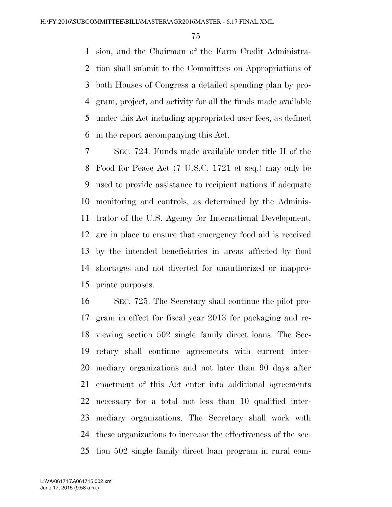sion, and the Chairman of the Farm Credit Administra- tion shall submit to the Committees on Appropriations of both Houses of Congress a detailed spending plan by pro- gram, project, and activity for all the funds made available under this Act including appropriated user fees, as defined in the report accompanying this Act.

 SEC. 724. Funds made available under title II of the Food for Peace Act (7 U.S.C. 1721 et seq.) may only be used to provide assistance to recipient nations if adequate monitoring and controls, as determined by the Adminis- trator of the U.S. Agency for International Development, are in place to ensure that emergency food aid is received by the intended beneficiaries in areas affected by food shortages and not diverted for unauthorized or inappro-priate purposes.

 SEC. 725. The Secretary shall continue the pilot pro- gram in effect for fiscal year 2013 for packaging and re- viewing section 502 single family direct loans. The Sec- retary shall continue agreements with current inter- mediary organizations and not later than 90 days after enactment of this Act enter into additional agreements necessary for a total not less than 10 qualified inter- mediary organizations. The Secretary shall work with these organizations to increase the effectiveness of the sec-tion 502 single family direct loan program in rural com-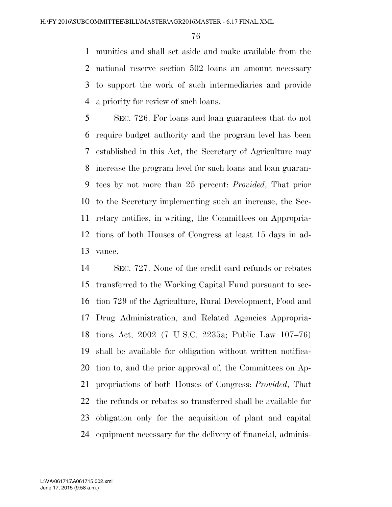munities and shall set aside and make available from the national reserve section 502 loans an amount necessary to support the work of such intermediaries and provide a priority for review of such loans.

 SEC. 726. For loans and loan guarantees that do not require budget authority and the program level has been established in this Act, the Secretary of Agriculture may increase the program level for such loans and loan guaran- tees by not more than 25 percent: *Provided*, That prior to the Secretary implementing such an increase, the Sec- retary notifies, in writing, the Committees on Appropria- tions of both Houses of Congress at least 15 days in ad-vance.

 SEC. 727. None of the credit card refunds or rebates transferred to the Working Capital Fund pursuant to sec- tion 729 of the Agriculture, Rural Development, Food and Drug Administration, and Related Agencies Appropria- tions Act, 2002 (7 U.S.C. 2235a; Public Law 107–76) shall be available for obligation without written notifica- tion to, and the prior approval of, the Committees on Ap- propriations of both Houses of Congress: *Provided*, That the refunds or rebates so transferred shall be available for obligation only for the acquisition of plant and capital equipment necessary for the delivery of financial, adminis-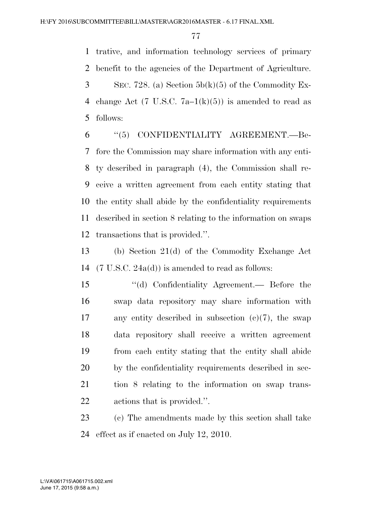trative, and information technology services of primary benefit to the agencies of the Department of Agriculture.  $3 \qquad \text{SEC. 728. (a) Section 5b(k)(5) of the Commodity Ex-$ 4 change Act (7 U.S.C.  $7a-1(k)(5)$ ) is amended to read as follows:

 ''(5) CONFIDENTIALITY AGREEMENT.—Be- fore the Commission may share information with any enti- ty described in paragraph (4), the Commission shall re- ceive a written agreement from each entity stating that the entity shall abide by the confidentiality requirements described in section 8 relating to the information on swaps transactions that is provided.''.

 (b) Section 21(d) of the Commodity Exchange Act (7 U.S.C. 24a(d)) is amended to read as follows:

 ''(d) Confidentiality Agreement.— Before the swap data repository may share information with any entity described in subsection (c)(7), the swap data repository shall receive a written agreement from each entity stating that the entity shall abide by the confidentiality requirements described in sec- tion 8 relating to the information on swap trans-actions that is provided.''.

 (c) The amendments made by this section shall take effect as if enacted on July 12, 2010.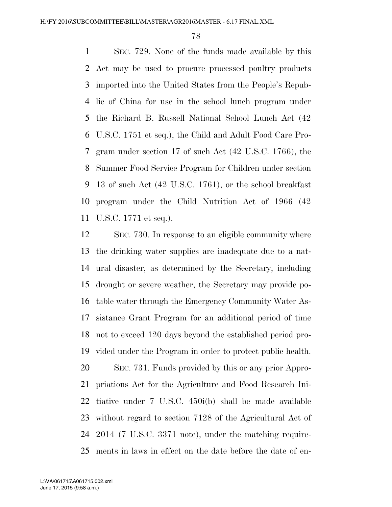SEC. 729. None of the funds made available by this Act may be used to procure processed poultry products imported into the United States from the People's Repub- lic of China for use in the school lunch program under the Richard B. Russell National School Lunch Act (42 U.S.C. 1751 et seq.), the Child and Adult Food Care Pro- gram under section 17 of such Act (42 U.S.C. 1766), the Summer Food Service Program for Children under section 13 of such Act (42 U.S.C. 1761), or the school breakfast program under the Child Nutrition Act of 1966 (42 U.S.C. 1771 et seq.).

 SEC. 730. In response to an eligible community where the drinking water supplies are inadequate due to a nat- ural disaster, as determined by the Secretary, including drought or severe weather, the Secretary may provide po- table water through the Emergency Community Water As- sistance Grant Program for an additional period of time not to exceed 120 days beyond the established period pro- vided under the Program in order to protect public health. SEC. 731. Funds provided by this or any prior Appro- priations Act for the Agriculture and Food Research Ini- tiative under 7 U.S.C. 450i(b) shall be made available without regard to section 7128 of the Agricultural Act of 2014 (7 U.S.C. 3371 note), under the matching require-ments in laws in effect on the date before the date of en-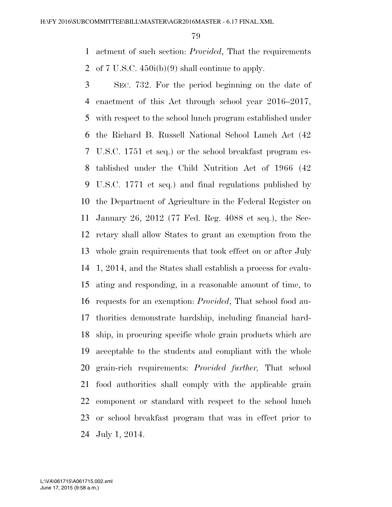actment of such section: *Provided*, That the requirements of 7 U.S.C. 450i(b)(9) shall continue to apply.

 SEC. 732. For the period beginning on the date of enactment of this Act through school year 2016–2017, with respect to the school lunch program established under the Richard B. Russell National School Lunch Act (42 U.S.C. 1751 et seq.) or the school breakfast program es- tablished under the Child Nutrition Act of 1966 (42 U.S.C. 1771 et seq.) and final regulations published by the Department of Agriculture in the Federal Register on January 26, 2012 (77 Fed. Reg. 4088 et seq.), the Sec- retary shall allow States to grant an exemption from the whole grain requirements that took effect on or after July 1, 2014, and the States shall establish a process for evalu- ating and responding, in a reasonable amount of time, to requests for an exemption: *Provided*, That school food au- thorities demonstrate hardship, including financial hard- ship, in procuring specific whole grain products which are acceptable to the students and compliant with the whole grain-rich requirements: *Provided further,* That school food authorities shall comply with the applicable grain component or standard with respect to the school lunch or school breakfast program that was in effect prior to July 1, 2014.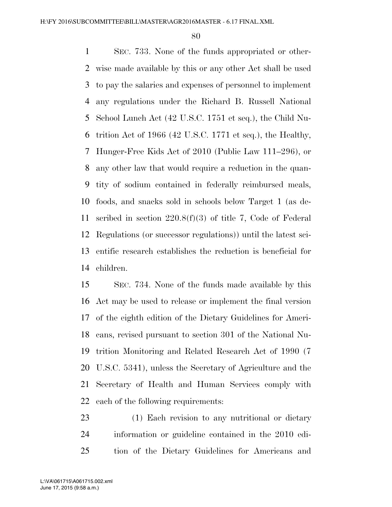SEC. 733. None of the funds appropriated or other- wise made available by this or any other Act shall be used to pay the salaries and expenses of personnel to implement any regulations under the Richard B. Russell National School Lunch Act (42 U.S.C. 1751 et seq.), the Child Nu- trition Act of 1966 (42 U.S.C. 1771 et seq.), the Healthy, Hunger-Free Kids Act of 2010 (Public Law 111–296), or any other law that would require a reduction in the quan- tity of sodium contained in federally reimbursed meals, foods, and snacks sold in schools below Target 1 (as de- scribed in section 220.8(f)(3) of title 7, Code of Federal Regulations (or successor regulations)) until the latest sci- entific research establishes the reduction is beneficial for children.

 SEC. 734. None of the funds made available by this Act may be used to release or implement the final version of the eighth edition of the Dietary Guidelines for Ameri- cans, revised pursuant to section 301 of the National Nu- trition Monitoring and Related Research Act of 1990 (7 U.S.C. 5341), unless the Secretary of Agriculture and the Secretary of Health and Human Services comply with each of the following requirements:

 (1) Each revision to any nutritional or dietary information or guideline contained in the 2010 edi-tion of the Dietary Guidelines for Americans and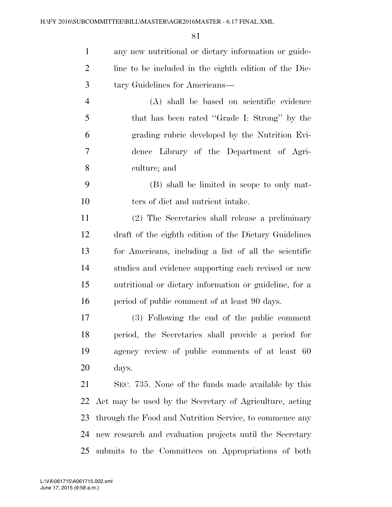| $\mathbf{1}$   | any new nutritional or dietary information or guide-     |
|----------------|----------------------------------------------------------|
| $\overline{2}$ | line to be included in the eighth edition of the Die-    |
| 3              | tary Guidelines for Americans—                           |
| $\overline{4}$ | (A) shall be based on scientific evidence                |
| 5              | that has been rated "Grade I: Strong" by the             |
| 6              | grading rubric developed by the Nutrition Evi-           |
| 7              | dence Library of the Department of Agri-                 |
| 8              | culture; and                                             |
| 9              | (B) shall be limited in scope to only mat-               |
| 10             | ters of diet and nutrient intake.                        |
| 11             | (2) The Secretaries shall release a preliminary          |
| 12             | draft of the eighth edition of the Dietary Guidelines    |
| 13             | for Americans, including a list of all the scientific    |
| 14             | studies and evidence supporting each revised or new      |
| 15             | nutritional or dietary information or guideline, for a   |
| 16             | period of public comment of at least 90 days.            |
| 17             | (3) Following the end of the public comment              |
| 18             | period, the Secretaries shall provide a period for       |
| 19             | agency review of public comments of at least 60          |
| 20             | days.                                                    |
| 21             | SEC. 735. None of the funds made available by this       |
| 22             | Act may be used by the Secretary of Agriculture, acting  |
| 23             | through the Food and Nutrition Service, to commence any  |
| 24             | new research and evaluation projects until the Secretary |
| 25             | submits to the Committees on Appropriations of both      |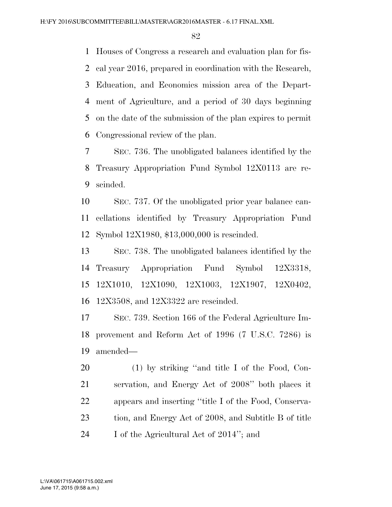Houses of Congress a research and evaluation plan for fis- cal year 2016, prepared in coordination with the Research, Education, and Economics mission area of the Depart- ment of Agriculture, and a period of 30 days beginning on the date of the submission of the plan expires to permit Congressional review of the plan.

 SEC. 736. The unobligated balances identified by the Treasury Appropriation Fund Symbol 12X0113 are re-scinded.

 SEC. 737. Of the unobligated prior year balance can- cellations identified by Treasury Appropriation Fund Symbol 12X1980, \$13,000,000 is rescinded.

 SEC. 738. The unobligated balances identified by the Treasury Appropriation Fund Symbol 12X3318, 12X1010, 12X1090, 12X1003, 12X1907, 12X0402, 12X3508, and 12X3322 are rescinded.

 SEC. 739. Section 166 of the Federal Agriculture Im- provement and Reform Act of 1996 (7 U.S.C. 7286) is amended—

 (1) by striking ''and title I of the Food, Con- servation, and Energy Act of 2008'' both places it appears and inserting ''title I of the Food, Conserva- tion, and Energy Act of 2008, and Subtitle B of title 24 I of the Agricultural Act of 2014"; and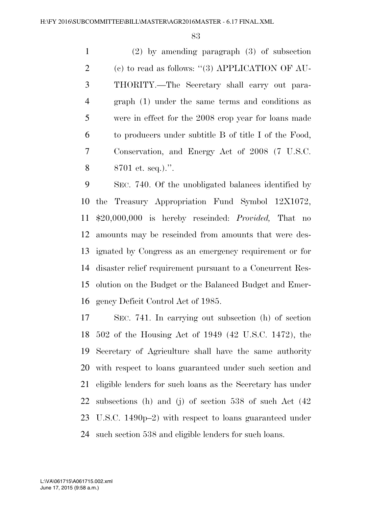(2) by amending paragraph (3) of subsection (c) to read as follows: ''(3) APPLICATION OF AU- THORITY.—The Secretary shall carry out para- graph (1) under the same terms and conditions as were in effect for the 2008 crop year for loans made to producers under subtitle B of title I of the Food, Conservation, and Energy Act of 2008 (7 U.S.C. 8701 et. seq.).''.

 SEC. 740. Of the unobligated balances identified by the Treasury Appropriation Fund Symbol 12X1072, \$20,000,000 is hereby rescinded: *Provided,* That no amounts may be rescinded from amounts that were des- ignated by Congress as an emergency requirement or for disaster relief requirement pursuant to a Concurrent Res- olution on the Budget or the Balanced Budget and Emer-gency Deficit Control Act of 1985.

 SEC. 741. In carrying out subsection (h) of section 502 of the Housing Act of 1949 (42 U.S.C. 1472), the Secretary of Agriculture shall have the same authority with respect to loans guaranteed under such section and eligible lenders for such loans as the Secretary has under subsections (h) and (j) of section 538 of such Act (42 U.S.C. 1490p–2) with respect to loans guaranteed under such section 538 and eligible lenders for such loans.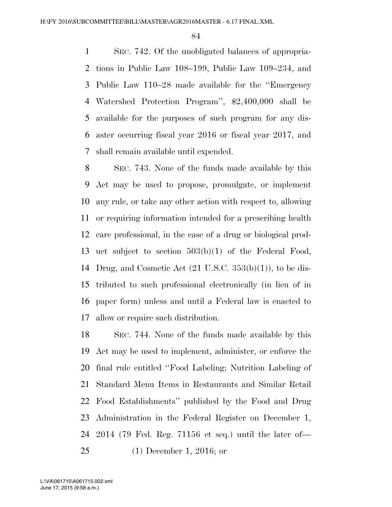SEC. 742. Of the unobligated balances of appropria- tions in Public Law 108–199, Public Law 109–234, and Public Law 110–28 made available for the ''Emergency Watershed Protection Program'', \$2,400,000 shall be available for the purposes of such program for any dis- aster occurring fiscal year 2016 or fiscal year 2017, and shall remain available until expended.

 SEC. 743. None of the funds made available by this Act may be used to propose, promulgate, or implement any rule, or take any other action with respect to, allowing or requiring information intended for a prescribing health care professional, in the case of a drug or biological prod- uct subject to section 503(b)(1) of the Federal Food, Drug, and Cosmetic Act (21 U.S.C. 353(b)(1)), to be dis- tributed to such professional electronically (in lieu of in paper form) unless and until a Federal law is enacted to allow or require such distribution.

 SEC. 744. None of the funds made available by this Act may be used to implement, administer, or enforce the final rule entitled ''Food Labeling; Nutrition Labeling of Standard Menu Items in Restaurants and Similar Retail Food Establishments'' published by the Food and Drug Administration in the Federal Register on December 1, 2014 (79 Fed. Reg. 71156 et seq.) until the later of— (1) December 1, 2016; or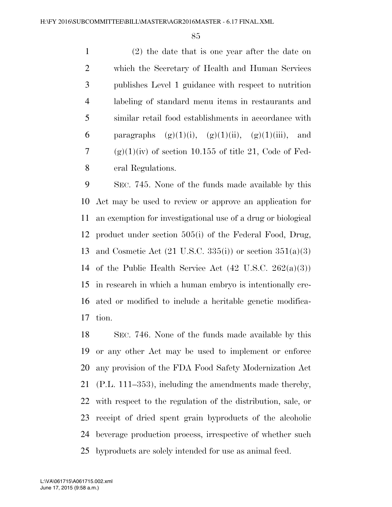(2) the date that is one year after the date on which the Secretary of Health and Human Services publishes Level 1 guidance with respect to nutrition labeling of standard menu items in restaurants and similar retail food establishments in accordance with 6 paragraphs  $(g)(1)(i)$ ,  $(g)(1)(ii)$ ,  $(g)(1)(iii)$ , and 7 (g)(1)(iv) of section 10.155 of title 21, Code of Fed-eral Regulations.

 SEC. 745. None of the funds made available by this Act may be used to review or approve an application for an exemption for investigational use of a drug or biological product under section 505(i) of the Federal Food, Drug, and Cosmetic Act (21 U.S.C. 335(i)) or section 351(a)(3) 14 of the Public Health Service Act  $(42 \text{ U.S.C. } 262(a)(3))$  in research in which a human embryo is intentionally cre- ated or modified to include a heritable genetic modifica-tion.

 SEC. 746. None of the funds made available by this or any other Act may be used to implement or enforce any provision of the FDA Food Safety Modernization Act (P.L. 111–353), including the amendments made thereby, with respect to the regulation of the distribution, sale, or receipt of dried spent grain byproducts of the alcoholic beverage production process, irrespective of whether such byproducts are solely intended for use as animal feed.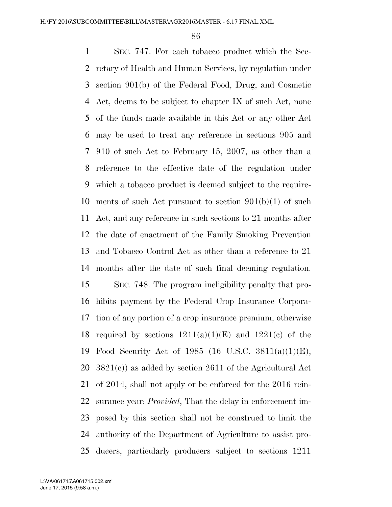SEC. 747. For each tobacco product which the Sec- retary of Health and Human Services, by regulation under section 901(b) of the Federal Food, Drug, and Cosmetic Act, deems to be subject to chapter IX of such Act, none of the funds made available in this Act or any other Act may be used to treat any reference in sections 905 and 910 of such Act to February 15, 2007, as other than a reference to the effective date of the regulation under which a tobacco product is deemed subject to the require- ments of such Act pursuant to section 901(b)(1) of such Act, and any reference in such sections to 21 months after the date of enactment of the Family Smoking Prevention and Tobacco Control Act as other than a reference to 21 months after the date of such final deeming regulation. SEC. 748. The program ineligibility penalty that pro- hibits payment by the Federal Crop Insurance Corpora- tion of any portion of a crop insurance premium, otherwise 18 required by sections  $1211(a)(1)(E)$  and  $1221(e)$  of the Food Security Act of 1985 (16 U.S.C. 3811(a)(1)(E), 3821(c)) as added by section 2611 of the Agricultural Act of 2014, shall not apply or be enforced for the 2016 rein- surance year: *Provided*, That the delay in enforcement im- posed by this section shall not be construed to limit the authority of the Department of Agriculture to assist pro-ducers, particularly producers subject to sections 1211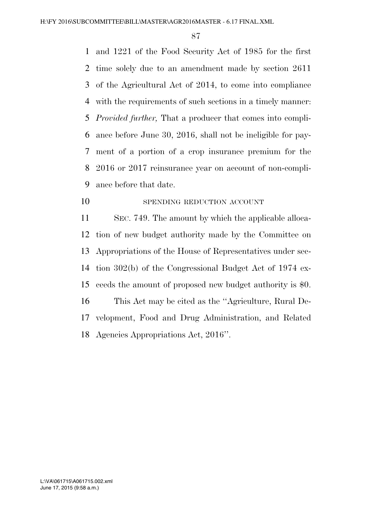and 1221 of the Food Security Act of 1985 for the first time solely due to an amendment made by section 2611 of the Agricultural Act of 2014, to come into compliance with the requirements of such sections in a timely manner: *Provided further,* That a producer that comes into compli- ance before June 30, 2016, shall not be ineligible for pay- ment of a portion of a crop insurance premium for the 2016 or 2017 reinsurance year on account of non-compli-ance before that date.

10 SPENDING REDUCTION ACCOUNT

 SEC. 749. The amount by which the applicable alloca- tion of new budget authority made by the Committee on Appropriations of the House of Representatives under sec- tion 302(b) of the Congressional Budget Act of 1974 ex- ceeds the amount of proposed new budget authority is \$0. This Act may be cited as the ''Agriculture, Rural De- velopment, Food and Drug Administration, and Related Agencies Appropriations Act, 2016''.